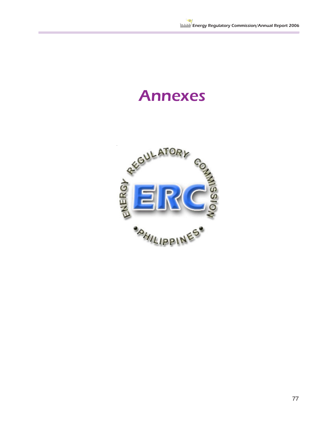## Annexes

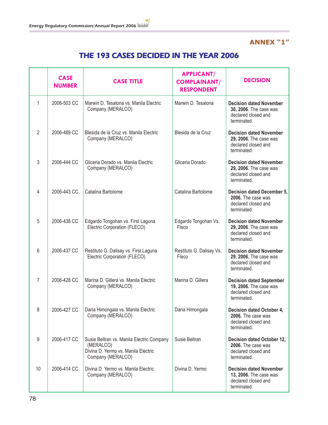## **ANNEX "1"**

## THE 193 CASES DECIDED IN THE YEAR 2006

|               | <b>CASE</b><br><b>NUMBER</b> | <b>CASE TITLE</b>                                                                                                  | <b>APPLICANT/</b><br><b>COMPLAINANT/</b><br><b>RESPONDENT</b> | <b>DECISION</b>                                                                                 |
|---------------|------------------------------|--------------------------------------------------------------------------------------------------------------------|---------------------------------------------------------------|-------------------------------------------------------------------------------------------------|
| 1             | 2006-503 CC                  | Marwin D. Tesalona vs. Manila Electric<br>Company (MERALCO)                                                        | Marwin D. Tesalona                                            | <b>Decision dated November</b><br>30, 2006. The case was<br>declared closed and<br>terminated.  |
| $\mathcal{P}$ | 2006-489 CC                  | Blesida de la Cruz vs. Manila Electric<br>Company (MERALCO)                                                        | Blesida de la Cruz                                            | <b>Decision dated November</b><br>29, 2006. The case was<br>declared closed and<br>terminated.  |
| 3             | 2006-444 CC                  | Gliceria Dorado vs. Manila Electric<br>Company (MERALCO)                                                           | Gliceria Dorado                                               | <b>Decision dated November</b><br>29, 2006. The case was<br>declared closed and<br>terminated.  |
| 4             | 2006-443 CC                  | Catalina Bartolome                                                                                                 | Catalina Bartolome                                            | <b>Decision dated December 5,</b><br>2006. The case was<br>declared closed and<br>terminated.   |
| 5             | 2006-438 CC                  | Edgardo Tongohan vs. First Laguna<br>Electric Corporation (FLECO)                                                  | Edgardo Tongohan Vs.<br>Fleco                                 | <b>Decision dated November</b><br>29, 2006. The case was<br>declared closed and<br>terminated.  |
| 6             | 2006-437 CC                  | Restituto G. Dalisay vs. First Laguna<br>Electric Corporation (FLECO)                                              | Restituto G. Dalisay Vs.<br>Fleco                             | <b>Decision dated November</b><br>29, 2006. The case was<br>declared closed and<br>terminated.  |
| 7             | 2006-428 CC                  | Marina D. Gillera vs. Manila Electric<br>Company (MERALCO)                                                         | Marina D. Gillera                                             | <b>Decision dated September</b><br>19, 2006. The case was<br>declared closed and<br>terminated. |
| 8             | 2006-427 CC                  | Daria Himongala vs. Manila Electric<br>Company (MERALCO)                                                           | Daria Himongala                                               | <b>Decision dated October 4,</b><br>2006. The case was<br>declared closed and<br>terminated.    |
| 9             | 2006-417 CC                  | Susie Beltran vs. Manila Electric Company<br>(MERALCO)<br>Divina D. Yermo vs. Manila Electric<br>Company (MERALCO) | Susie Beltran                                                 | Decision dated October 12,<br>2006. The case was<br>declared closed and<br>terminated.          |
| 10            | 2006-414 CC                  | Divina D. Yermo vs. Manila Electric<br>Company (MERALCO)                                                           | Divina D. Yermo                                               | <b>Decision dated November</b><br>13, 2006. The case was<br>declared closed and<br>terminated.  |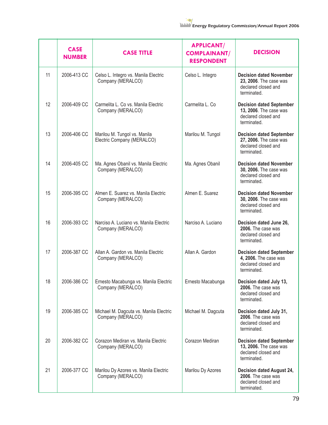

|    | <b>CASE</b><br><b>NUMBER</b> | <b>CASE TITLE</b>                                           | <b>APPLICANT/</b><br><b>COMPLAINANT/</b><br><b>RESPONDENT</b> | <b>DECISION</b>                                                                                 |
|----|------------------------------|-------------------------------------------------------------|---------------------------------------------------------------|-------------------------------------------------------------------------------------------------|
| 11 | 2006-413 CC                  | Celso L. Integro vs. Manila Electric<br>Company (MERALCO)   | Celso L. Integro                                              | <b>Decision dated November</b><br>23, 2006. The case was<br>declared closed and<br>terminated.  |
| 12 | 2006-409 CC                  | Carmelita L. Co vs. Manila Electric<br>Company (MERALCO)    | Carmelita L. Co                                               | <b>Decision dated September</b><br>13, 2006. The case was<br>declared closed and<br>terminated. |
| 13 | 2006-406 CC                  | Marilou M. Tungol vs. Manila<br>Electric Company (MERALCO)  | Marilou M. Tungol                                             | <b>Decision dated September</b><br>27, 2006. The case was<br>declared closed and<br>terminated. |
| 14 | 2006-405 CC                  | Ma. Agnes Obanil vs. Manila Electric<br>Company (MERALCO)   | Ma. Agnes Obanil                                              | <b>Decision dated November</b><br>30, 2006. The case was<br>declared closed and<br>terminated.  |
| 15 | 2006-395 CC                  | Almen E. Suarez vs. Manila Electric<br>Company (MERALCO)    | Almen E. Suarez                                               | <b>Decision dated November</b><br>30, 2006. The case was<br>declared closed and<br>terminated.  |
| 16 | 2006-393 CC                  | Narciso A. Luciano vs. Manila Electric<br>Company (MERALCO) | Narciso A. Luciano                                            | Decision dated June 26,<br>2006. The case was<br>declared closed and<br>terminated.             |
| 17 | 2006-387 CC                  | Allan A. Gardon vs. Manila Electric<br>Company (MERALCO)    | Allan A. Gardon                                               | <b>Decision dated September</b><br>4, 2006. The case was<br>declared closed and<br>terminated.  |
| 18 | 2006-386 CC                  | Ernesto Macabunga vs. Manila Electric<br>Company (MERALCO)  | Ernesto Macabunga                                             | Decision dated July 13,<br>2006. The case was<br>declared closed and<br>terminated.             |
| 19 | 2006-385 CC                  | Michael M. Dagcuta vs. Manila Electric<br>Company (MERALCO) | Michael M. Dagcuta                                            | Decision dated July 31,<br>2006. The case was<br>declared closed and<br>terminated.             |
| 20 | 2006-382 CC                  | Corazon Mediran vs. Manila Electric<br>Company (MERALCO)    | Corazon Mediran                                               | <b>Decision dated September</b><br>13, 2006. The case was<br>declared closed and<br>terminated. |
| 21 | 2006-377 CC                  | Marilou Dy Azores vs. Manila Electric<br>Company (MERALCO)  | Marilou Dy Azores                                             | Decision dated August 24,<br>2006. The case was<br>declared closed and<br>terminated.           |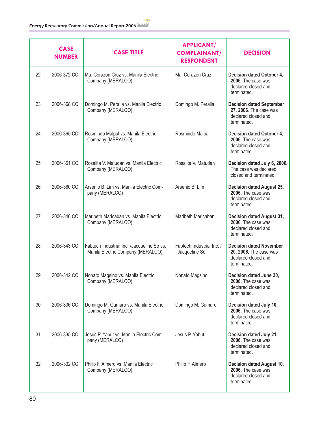|    | <b>CASE</b><br><b>NUMBER</b> | <b>CASE TITLE</b>                                                               | <b>APPLICANT/</b><br><b>COMPLAINANT/</b><br><b>RESPONDENT</b> | <b>DECISION</b>                                                                                 |
|----|------------------------------|---------------------------------------------------------------------------------|---------------------------------------------------------------|-------------------------------------------------------------------------------------------------|
| 22 | 2006-372 CC                  | Ma. Corazon Cruz vs. Manila Electric<br>Company (MERALCO)                       | Ma. Corazon Cruz                                              | Decision dated October 4,<br>2006. The case was<br>declared closed and<br>terminated.           |
| 23 | 2006-368 CC                  | Domingo M. Peralla vs. Manila Electric<br>Company (MERALCO)                     | Domingo M. Peralla                                            | <b>Decision dated September</b><br>27, 2006. The case was<br>declared closed and<br>terminated. |
| 24 | 2006-365 CC                  | Rosmindo Malpal vs. Manila Electric<br>Company (MERALCO)                        | Rosmindo Malpal                                               | Decision dated October 4,<br>2006. The case was<br>declared closed and<br>terminated.           |
| 25 | 2006-361 CC                  | Rosalita V. Matudan vs. Manila Electric<br>Company (MERALCO)                    | Rosalita V. Matudan                                           | Decision dated July 6, 2006.<br>The case was declared<br>closed and terminated.                 |
| 26 | 2006-360 CC                  | Arsenio B. Lim vs. Manila Electric Com-<br>pany (MERALCO)                       | Arsenio B. Lim                                                | Decision dated August 25,<br>2006. The case was<br>declared closed and<br>terminated.           |
| 27 | 2006-346 CC                  | Maribeth Maricaban vs. Manila Electric<br>Company (MERALCO)                     | Maribeth Maricaban                                            | Decision dated August 31,<br>2006. The case was<br>declared closed and<br>terminated.           |
| 28 | 2006-343 CC                  | Fabtech Industrial Inc. /Jacqueline So vs.<br>Manila Electric Company (MERALCO) | Fabtech Industrial Inc. /<br>Jacqueline So                    | <b>Decision dated November</b><br>20, 2006. The case was<br>declared closed and<br>terminated.  |
| 29 | 2006-342 CC                  | Nonato Magsino vs. Manila Electric<br>Company (MERALCO)                         | Nonato Magsino                                                | Decision dated June 30,<br><b>2006.</b> The case was<br>declared closed and<br>terminated.      |
| 30 | 2006-336 CC                  | Domingo M. Gumaro vs. Manila Electric<br>Company (MERALCO)                      | Domingo M. Gumaro                                             | Decision dated July 10,<br>2006. The case was<br>declared closed and<br>terminated.             |
| 31 | 2006-335 CC                  | Jesus P. Yabut vs. Manila Electric Com-<br>pany (MERALCO)                       | Jesus P. Yabut                                                | Decision dated July 21,<br>2006. The case was<br>declared closed and<br>terminated.             |
| 32 | 2006-332 CC                  | Philip F. Almero vs. Manila Electric<br>Company (MERALCO)                       | Philip F. Almero                                              | Decision dated August 10,<br>2006. The case was<br>declared closed and<br>terminated.           |

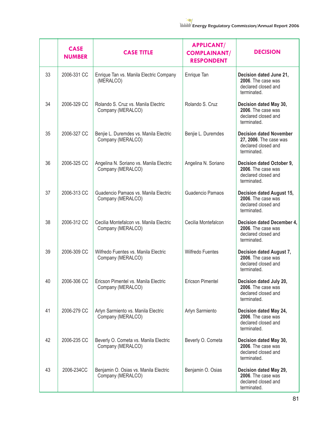|    | <b>CASE</b><br><b>NUMBER</b> | <b>CASE TITLE</b>                                            | <b>APPLICANT/</b><br><b>COMPLAINANT/</b><br><b>RESPONDENT</b> | <b>DECISION</b>                                                                                |
|----|------------------------------|--------------------------------------------------------------|---------------------------------------------------------------|------------------------------------------------------------------------------------------------|
| 33 | 2006-331 CC                  | Enrique Tan vs. Manila Electric Company<br>(MERALCO)         | Enrique Tan                                                   | Decision dated June 21,<br>2006. The case was<br>declared closed and<br>terminated.            |
| 34 | 2006-329 CC                  | Rolando S. Cruz vs. Manila Electric<br>Company (MERALCO)     | Rolando S. Cruz                                               | Decision dated May 30,<br>2006. The case was<br>declared closed and<br>terminated.             |
| 35 | 2006-327 CC                  | Benjie L. Duremdes vs. Manila Electric<br>Company (MERALCO)  | Benjie L. Duremdes                                            | <b>Decision dated November</b><br>27, 2006. The case was<br>declared closed and<br>terminated. |
| 36 | 2006-325 CC                  | Angelina N. Soriano vs. Manila Electric<br>Company (MERALCO) | Angelina N. Soriano                                           | Decision dated October 9,<br>2006. The case was<br>declared closed and<br>terminated.          |
| 37 | 2006-313 CC                  | Guadencio Pamaos vs. Manila Electric<br>Company (MERALCO)    | Guadencio Pamaos                                              | Decision dated August 15,<br>2006. The case was<br>declared closed and<br>terminated.          |
| 38 | 2006-312 CC                  | Cecilia Montefalcon vs. Manila Electric<br>Company (MERALCO) | Cecilia Montefalcon                                           | Decision dated December 4,<br>2006. The case was<br>declared closed and<br>terminated.         |
| 39 | 2006-309 CC                  | Wilfredo Fuentes vs. Manila Electric<br>Company (MERALCO)    | <b>Wilfredo Fuentes</b>                                       | Decision dated August 7,<br>2006. The case was<br>declared closed and<br>terminated.           |
| 40 | 2006-306 CC                  | Ericson Pimentel vs. Manila Electric<br>Company (MERALCO)    | <b>Ericson Pimentel</b>                                       | Decision dated July 20,<br>2006. The case was<br>declared closed and<br>terminated.            |
| 41 | 2006-279 CC                  | Arlyn Sarmiento vs. Manila Electric<br>Company (MERALCO)     | Arlyn Sarmiento                                               | Decision dated May 24,<br>2006. The case was<br>declared closed and<br>terminated.             |
| 42 | 2006-235 CC                  | Beverly O. Cometa vs. Manila Electric<br>Company (MERALCO)   | Beverly O. Cometa                                             | Decision dated May 30,<br>2006. The case was<br>declared closed and<br>terminated.             |
| 43 | 2006-234CC                   | Benjamin O. Osias vs. Manila Electric<br>Company (MERALCO)   | Benjamin O. Osias                                             | Decision dated May 29,<br>2006. The case was<br>declared closed and<br>terminated.             |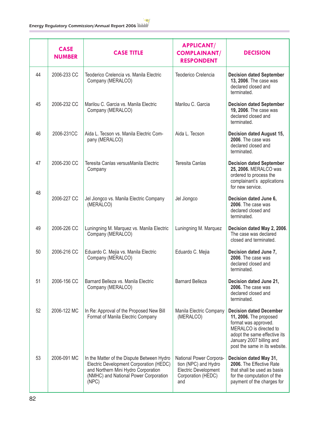|    | <b>CASE</b><br><b>NUMBER</b> | <b>CASE TITLE</b>                                                                                                                                                              | <b>APPLICANT/</b><br><b>COMPLAINANT/</b><br><b>RESPONDENT</b>                                               | <b>DECISION</b>                                                                                                                                                                                         |
|----|------------------------------|--------------------------------------------------------------------------------------------------------------------------------------------------------------------------------|-------------------------------------------------------------------------------------------------------------|---------------------------------------------------------------------------------------------------------------------------------------------------------------------------------------------------------|
| 44 | 2006-233 CC                  | Teoderico Crelencia vs. Manila Electric<br>Company (MERALCO)                                                                                                                   | Teoderico Crelencia                                                                                         | <b>Decision dated September</b><br>13, 2006. The case was<br>declared closed and<br>terminated.                                                                                                         |
| 45 | 2006-232 CC                  | Marilou C. Garcia vs. Manila Electric<br>Company (MERALCO)                                                                                                                     | Marilou C. Garcia                                                                                           | <b>Decision dated September</b><br>19, 2006. The case was<br>declared closed and<br>terminated.                                                                                                         |
| 46 | 2006-231CC                   | Aida L. Tecson vs. Manila Electric Com-<br>pany (MERALCO)                                                                                                                      | Aida L. Tecson                                                                                              | <b>Decision dated August 15,</b><br>2006. The case was<br>declared closed and<br>terminated.                                                                                                            |
| 47 | 2006-230 CC                  | Teresita Canlas versusManila Electric<br>Company                                                                                                                               | <b>Teresita Canlas</b>                                                                                      | <b>Decision dated September</b><br>25, 2006. MERALCO was<br>ordered to process the<br>complainant's applications<br>for new service.                                                                    |
| 48 | 2006-227 CC                  | Jel Jiongco vs. Manila Electric Company<br>(MERALCO)                                                                                                                           | Jel Jiongco                                                                                                 | Decision dated June 6,<br>2006. The case was<br>declared closed and<br>terminated.                                                                                                                      |
| 49 | 2006-226 CC                  | Luningning M. Marquez vs. Manila Electric<br>Company (MERALCO)                                                                                                                 | Luningning M. Marquez                                                                                       | Decision dated May 2, 2006.<br>The case was declared<br>closed and terminated.                                                                                                                          |
| 50 | 2006-216 CC                  | Eduardo C. Mejia vs. Manila Electric<br>Company (MERALCO)                                                                                                                      | Eduardo C. Mejia                                                                                            | Decision dated June 7,<br>2006. The case was<br>declared closed and<br>terminated.                                                                                                                      |
| 51 | 2006-156 CC                  | Barnard Belleza vs. Manila Electric<br>Company (MERALCO)                                                                                                                       | <b>Barnard Belleza</b>                                                                                      | Decision dated June 21,<br>2006. The case was<br>declared closed and<br>terminated.                                                                                                                     |
| 52 | 2006-122 MC                  | In Re: Approval of the Proposed New Bill<br>Format of Manila Electric Company                                                                                                  | Manila Electric Company<br>(MERALCO)                                                                        | <b>Decision dated December</b><br>11, 2006. The proposed<br>format was approved.<br>MERALCO is directed to<br>adopt the same effective its<br>January 2007 billing and<br>post the same in its website. |
| 53 | 2006-091 MC                  | In the Matter of the Dispute Between Hydro<br>Electric Development Corporation (HEDC)<br>and Northern Mini Hydro Corporation<br>(NMHC) and National Power Corporation<br>(NPC) | National Power Corpora-<br>tion (NPC) and Hydro<br><b>Electric Development</b><br>Corporation (HEDC)<br>and | Decision dated May 31,<br>2006. The Effective Rate<br>that shall be used as basis<br>for the computation of the<br>payment of the charges for                                                           |

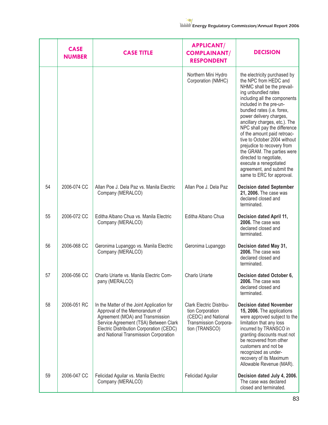|    | <b>CASE</b><br><b>NUMBER</b> | <b>CASE TITLE</b>                                                                                                                                                                                                                             | <b>APPLICANT/</b><br><b>COMPLAINANT/</b><br><b>RESPONDENT</b>                                                         | <b>DECISION</b>                                                                                                                                                                                                                                                                                                                                                                                                                                                                                                                          |
|----|------------------------------|-----------------------------------------------------------------------------------------------------------------------------------------------------------------------------------------------------------------------------------------------|-----------------------------------------------------------------------------------------------------------------------|------------------------------------------------------------------------------------------------------------------------------------------------------------------------------------------------------------------------------------------------------------------------------------------------------------------------------------------------------------------------------------------------------------------------------------------------------------------------------------------------------------------------------------------|
|    |                              |                                                                                                                                                                                                                                               | Northern Mini Hydro<br>Corporation (NMHC)                                                                             | the electricity purchased by<br>the NPC from HEDC and<br>NHMC shall be the prevail-<br>ing unbundled rates<br>including all the components<br>included in the pre-un-<br>bundled rates (i.e. forex,<br>power delivery charges,<br>ancillary charges, etc.). The<br>NPC shall pay the difference<br>of the amount paid retroac-<br>tive to October 2004 without<br>prejudice to recovery from<br>the GRAM. The parties were<br>directed to negotiate,<br>execute a renegotiated<br>agreement, and submit the<br>same to ERC for approval. |
| 54 | 2006-074 CC                  | Allan Poe J. Dela Paz vs. Manila Electric<br>Company (MERALCO)                                                                                                                                                                                | Allan Poe J. Dela Paz                                                                                                 | <b>Decision dated September</b><br>21, 2006. The case was<br>declared closed and<br>terminated.                                                                                                                                                                                                                                                                                                                                                                                                                                          |
| 55 | 2006-072 CC                  | Editha Albano Chua vs. Manila Electric<br>Company (MERALCO)                                                                                                                                                                                   | Editha Albano Chua                                                                                                    | Decision dated April 11,<br>2006. The case was<br>declared closed and<br>terminated.                                                                                                                                                                                                                                                                                                                                                                                                                                                     |
| 56 | 2006-068 CC                  | Geronima Lupanggo vs. Manila Electric<br>Company (MERALCO)                                                                                                                                                                                    | Geronima Lupanggo                                                                                                     | Decision dated May 31,<br>2006. The case was<br>declared closed and<br>terminated.                                                                                                                                                                                                                                                                                                                                                                                                                                                       |
| 57 | 2006-056 CC                  | Charlo Uriarte vs. Manila Electric Com-<br>pany (MERALCO)                                                                                                                                                                                     | Charlo Uriarte                                                                                                        | Decision dated October 6,<br>2006. The case was<br>declared closed and<br>terminated.                                                                                                                                                                                                                                                                                                                                                                                                                                                    |
| 58 | 2006-051 RC                  | In the Matter of the Joint Application for<br>Approval of the Memorandum of<br>Agreement (MOA) and Transmission<br>Service Agreement (TSA) Between Clark<br>Electric Distribution Corporation (CEDC)<br>and National Transmission Corporation | <b>Clark Electric Distribu-</b><br>tion Corporation<br>(CEDC) and National<br>Transmission Corpora-<br>tion (TRANSCO) | <b>Decision dated November</b><br>15, 2006. The applications<br>were approved subject to the<br>limitation that any loss<br>incurred by TRANSCO in<br>granting discounts must not<br>be recovered from other<br>customers and not be<br>recognized as under-<br>recovery of its Maximum<br>Allowable Revenue (MAR).                                                                                                                                                                                                                      |
| 59 | 2006-047 CC                  | Felicidad Aguilar vs. Manila Electric<br>Company (MERALCO)                                                                                                                                                                                    | Felicidad Aguilar                                                                                                     | Decision dated July 4, 2006.<br>The case was declared<br>closed and terminated.                                                                                                                                                                                                                                                                                                                                                                                                                                                          |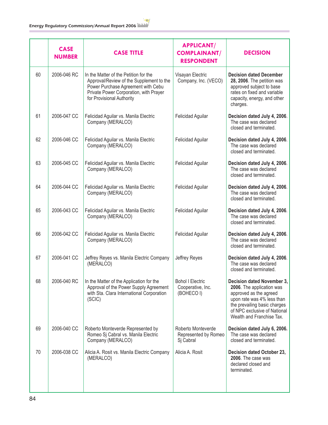|    | <b>CASE</b><br><b>NUMBER</b> | <b>CASE TITLE</b>                                                                                                                                                                              | <b>APPLICANT/</b><br><b>COMPLAINANT/</b><br><b>RESPONDENT</b> | <b>DECISION</b>                                                                                                                                                                                              |
|----|------------------------------|------------------------------------------------------------------------------------------------------------------------------------------------------------------------------------------------|---------------------------------------------------------------|--------------------------------------------------------------------------------------------------------------------------------------------------------------------------------------------------------------|
| 60 | 2006-046 RC                  | In the Matter of the Petition for the<br>Approval/Review of the Supplement to the<br>Power Purchase Agreement with Cebu<br>Private Power Corporation, with Prayer<br>for Provisional Authority | Visayan Electric<br>Company, Inc. (VECO)                      | <b>Decision dated December</b><br>28, 2006. The petition was<br>approved subject to base<br>rates on fixed and variable<br>capacity, energy, and other<br>charges.                                           |
| 61 | 2006-047 CC                  | Felicidad Aguilar vs. Manila Electric<br>Company (MERALCO)                                                                                                                                     | Felicidad Aguilar                                             | Decision dated July 4, 2006.<br>The case was declared<br>closed and terminated.                                                                                                                              |
| 62 | 2006-046 CC                  | Felicidad Aguilar vs. Manila Electric<br>Company (MERALCO)                                                                                                                                     | Felicidad Aguilar                                             | Decision dated July 4, 2006.<br>The case was declared<br>closed and terminated.                                                                                                                              |
| 63 | 2006-045 CC                  | Felicidad Aguilar vs. Manila Electric<br>Company (MERALCO)                                                                                                                                     | Felicidad Aguilar                                             | Decision dated July 4, 2006.<br>The case was declared<br>closed and terminated.                                                                                                                              |
| 64 | 2006-044 CC                  | Felicidad Aguilar vs. Manila Electric<br>Company (MERALCO)                                                                                                                                     | Felicidad Aguilar                                             | Decision dated July 4, 2006.<br>The case was declared<br>closed and terminated.                                                                                                                              |
| 65 | 2006-043 CC                  | Felicidad Aguilar vs. Manila Electric<br>Company (MERALCO)                                                                                                                                     | Felicidad Aguilar                                             | Decision dated July 4, 2006.<br>The case was declared<br>closed and terminated.                                                                                                                              |
| 66 | 2006-042 CC                  | Felicidad Aguilar vs. Manila Electric<br>Company (MERALCO)                                                                                                                                     | Felicidad Aguilar                                             | Decision dated July 4, 2006.<br>The case was declared<br>closed and terminated.                                                                                                                              |
| 67 | 2006-041 CC                  | Jeffrey Reyes vs. Manila Electric Company<br>(MERALCO)                                                                                                                                         | Jeffrey Reyes                                                 | Decision dated July 4, 2006.<br>The case was declared<br>closed and terminated.                                                                                                                              |
| 68 | 2006-040 RC                  | In the Matter of the Application for the<br>Approval of the Power Supply Agreement<br>with Sta. Clara International Corporation<br>(SCIC)                                                      | <b>Bohol I Electric</b><br>Cooperative, Inc.<br>(BOHECO I)    | Decision dated November 3,<br>2006. The application was<br>approved as the agreed<br>upon rate was 4% less than<br>the prevailing basic charges<br>of NPC exclusive of National<br>Wealth and Franchise Tax. |
| 69 | 2006-040 CC                  | Roberto Monteverde Represented by<br>Romeo Sj Cabral vs. Manila Electric<br>Company (MERALCO)                                                                                                  | Roberto Monteverde<br>Represented by Romeo<br>Sj Cabral       | Decision dated July 6, 2006.<br>The case was declared<br>closed and terminated.                                                                                                                              |
| 70 | 2006-038 CC                  | Alicia A. Rosit vs. Manila Electric Company<br>(MERALCO)                                                                                                                                       | Alicia A. Rosit                                               | Decision dated October 23,<br>2006. The case was<br>declared closed and<br>terminated.                                                                                                                       |

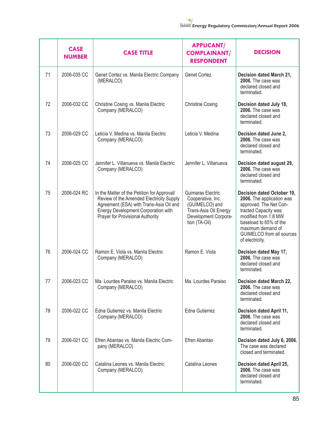|    | <b>CASE</b><br><b>NUMBER</b> | <b>CASE TITLE</b>                                                                                                                                                                                             | <b>APPLICANT/</b><br><b>COMPLAINANT/</b><br><b>RESPONDENT</b>                                                              | <b>DECISION</b>                                                                                                                                                                                                                  |
|----|------------------------------|---------------------------------------------------------------------------------------------------------------------------------------------------------------------------------------------------------------|----------------------------------------------------------------------------------------------------------------------------|----------------------------------------------------------------------------------------------------------------------------------------------------------------------------------------------------------------------------------|
| 71 | 2006-035 CC                  | Genet Cortez vs. Manila Electric Company<br>(MERALCO)                                                                                                                                                         | <b>Genet Cortez</b>                                                                                                        | Decision dated March 21,<br>2006. The case was<br>declared closed and<br>terminated.                                                                                                                                             |
| 72 | 2006-032 CC                  | Christine Cosing vs. Manila Electric<br>Company (MERALCO)                                                                                                                                                     | <b>Christine Cosing</b>                                                                                                    | Decision dated July 18,<br>2006. The case was<br>declared closed and<br>terminated.                                                                                                                                              |
| 73 | 2006-029 CC                  | Leticia V. Medina vs. Manila Electric<br>Company (MERALCO)                                                                                                                                                    | Leticia V. Medina                                                                                                          | Decision dated June 2,<br>2006. The case was<br>declared closed and<br>terminated.                                                                                                                                               |
| 74 | 2006-025 CC                  | Jennifer L. Villanueva vs. Manila Electric<br>Company (MERALCO)                                                                                                                                               | Jennifer L. Villanueva                                                                                                     | Decision dated august 29,<br>2006. The case was<br>declared closed and<br>terminated.                                                                                                                                            |
| 75 | 2006-024 RC                  | In the Matter of the Petition for Approval/<br>Review of the Amended Electricity Supply<br>Agreement (ESA) with Trans-Asia Oil and<br>Energy Development Corporation with<br>Prayer for Provisional Authority | Guimaras Electric<br>Cooperative, Inc.<br>(GUIMELCO) and<br>Trans-Asia Oil Energy<br>Development Corpora-<br>tion (TA-Oil) | Decision dated October 19,<br>2006. The application was<br>approved. The Net Con-<br>tracted Capacity was<br>modified from 1.8 MW<br>baseload to 65% of the<br>maximum demand of<br>GUIMELCO from all sources<br>of electricity. |
| 76 | 2006-024 CC                  | Ramon E. Viola vs. Manila Electric<br>Company (MERALCO)                                                                                                                                                       | Ramon E. Viola                                                                                                             | Decision dated May 17,<br>2006. The case was<br>declared closed and<br>terminated.                                                                                                                                               |
| 77 | 2006-023 CC                  | Ma. Lourdes Paraiso vs. Manila Electric<br>Company (MERALCO)                                                                                                                                                  | Ma. Lourdes Paraiso                                                                                                        | Decision dated March 22,<br>2006. The case was<br>declared closed and<br>terminated.                                                                                                                                             |
| 78 | 2006-022 CC                  | Edna Gutierrez vs. Manila Electric<br>Company (MERALCO)                                                                                                                                                       | Edna Gutierrez                                                                                                             | Decision dated April 11,<br>2006. The case was<br>declared closed and<br>terminated.                                                                                                                                             |
| 79 | 2006-021 CC                  | Efren Abantao vs. Manila Electric Com-<br>pany (MERALCO)                                                                                                                                                      | Efren Abantao                                                                                                              | Decision dated July 6, 2006.<br>The case was declared<br>closed and terminated.                                                                                                                                                  |
| 80 | 2006-020 CC                  | Catalina Leones vs. Manila Electric<br>Company (MERALCO)                                                                                                                                                      | Catalina Leones                                                                                                            | Decision dated April 25,<br>2006. The case was<br>declared closed and<br>terminated.                                                                                                                                             |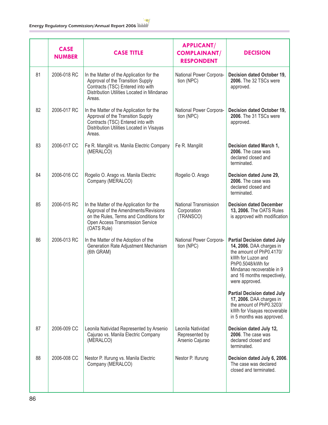|    | <b>CASE</b><br><b>NUMBER</b> | <b>CASE TITLE</b>                                                                                                                                                             | <b>APPLICANT/</b><br><b>COMPLAINANT/</b><br><b>RESPONDENT</b> | <b>DECISION</b>                                                                                                                                                                                                    |
|----|------------------------------|-------------------------------------------------------------------------------------------------------------------------------------------------------------------------------|---------------------------------------------------------------|--------------------------------------------------------------------------------------------------------------------------------------------------------------------------------------------------------------------|
| 81 | 2006-018 RC                  | In the Matter of the Application for the<br>Approval of the Transition Supply<br>Contracts (TSC) Entered into with<br>Distribution Utilities Located in Mindanao<br>Areas.    | National Power Corpora-<br>tion (NPC)                         | Decision dated October 19,<br>2006. The 32 TSCs were<br>approved.                                                                                                                                                  |
| 82 | 2006-017 RC                  | In the Matter of the Application for the<br>Approval of the Transition Supply<br>Contracts (TSC) Entered into with<br>Distribution Utilities Located in Visayas<br>Areas.     | National Power Corpora-<br>tion (NPC)                         | Decision dated October 19,<br>2006. The 31 TSCs were<br>approved.                                                                                                                                                  |
| 83 | 2006-017 CC                  | Fe R. Mangilit vs. Manila Electric Company<br>(MERALCO)                                                                                                                       | Fe R. Mangilit                                                | Decision dated March 1,<br>2006. The case was<br>declared closed and<br>terminated.                                                                                                                                |
| 84 | 2006-016 CC                  | Rogelio O. Arago vs. Manila Electric<br>Company (MERALCO)                                                                                                                     | Rogelio O. Arago                                              | Decision dated June 29,<br>2006. The case was<br>declared closed and<br>terminated.                                                                                                                                |
| 85 | 2006-015 RC                  | In the Matter of the Application for the<br>Approval of the Amendments/Revisions<br>on the Rules, Terms and Conditions for<br>Open Access Transmission Service<br>(OATS Rule) | National Transmission<br>Corporation<br>(TRANSCO)             | <b>Decision dated December</b><br>13, 2006. The OATS Rules<br>is approved with modification                                                                                                                        |
| 86 | 2006-013 RC                  | In the Matter of the Adoption of the<br>Generation Rate Adjustment Mechanism<br>(6th GRAM)                                                                                    | National Power Corpora-<br>tion (NPC)                         | <b>Partial Decision dated July</b><br>14, 2006. DAA charges in<br>the amount of PhP0.4170/<br>kWh for Luzon and<br>PhP0.5048/kWh for<br>Mindanao recoverable in 9<br>and 16 months respectively,<br>were approved. |
|    |                              |                                                                                                                                                                               |                                                               | <b>Partial Decision dated July</b><br>17, 2006. DAA charges in<br>the amount of PhP0.3203/<br>kWh for Visayas recoverable<br>in 5 months was approved.                                                             |
| 87 | 2006-009 CC                  | Leonila Natividad Represented by Arsenio<br>Cajurao vs. Manila Electric Company<br>(MERALCO)                                                                                  | Leonila Natividad<br>Represented by<br>Arsenio Cajurao        | Decision dated July 12,<br>2006. The case was<br>declared closed and<br>terminated.                                                                                                                                |
| 88 | 2006-008 CC                  | Nestor P. Ifurung vs. Manila Electric<br>Company (MERALCO)                                                                                                                    | Nestor P. Ifurung                                             | Decision dated July 6, 2006.<br>The case was declared<br>closed and terminated.                                                                                                                                    |
|    |                              |                                                                                                                                                                               |                                                               |                                                                                                                                                                                                                    |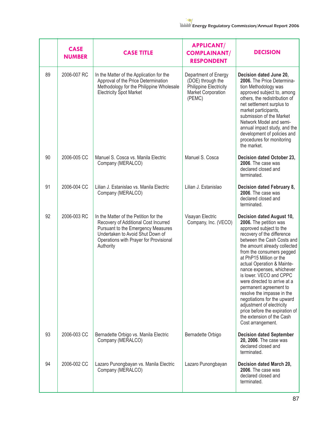|    | <b>CASE</b><br><b>NUMBER</b> | <b>CASE TITLE</b>                                                                                                                                                                                              | <b>APPLICANT/</b><br><b>COMPLAINANT/</b><br><b>RESPONDENT</b>                                              | <b>DECISION</b>                                                                                                                                                                                                                                                                                                                                                                                                                                                                                                                                                  |
|----|------------------------------|----------------------------------------------------------------------------------------------------------------------------------------------------------------------------------------------------------------|------------------------------------------------------------------------------------------------------------|------------------------------------------------------------------------------------------------------------------------------------------------------------------------------------------------------------------------------------------------------------------------------------------------------------------------------------------------------------------------------------------------------------------------------------------------------------------------------------------------------------------------------------------------------------------|
| 89 | 2006-007 RC                  | In the Matter of the Application for the<br>Approval of the Price Determination<br>Methodology for the Philippine Wholesale<br><b>Electricity Spot Market</b>                                                  | Department of Energy<br>(DOE) through the<br>Philippine Electricity<br><b>Market Corporation</b><br>(PEMC) | Decision dated June 20,<br>2006. The Price Determina-<br>tion Methodology was<br>approved subject to, among<br>others, the redistribution of<br>net settlement surplus to<br>market participants,<br>submission of the Market<br>Network Model and semi-<br>annual impact study, and the<br>development of policies and<br>procedures for monitoring<br>the market.                                                                                                                                                                                              |
| 90 | 2006-005 CC                  | Manuel S. Cosca vs. Manila Electric<br>Company (MERALCO)                                                                                                                                                       | Manuel S. Cosca                                                                                            | Decision dated October 23,<br>2006. The case was<br>declared closed and<br>terminated.                                                                                                                                                                                                                                                                                                                                                                                                                                                                           |
| 91 | 2006-004 CC                  | Lilian J. Estanislao vs. Manila Electric<br>Company (MERALCO)                                                                                                                                                  | Lilian J. Estanislao                                                                                       | Decision dated February 8,<br>2006. The case was<br>declared closed and<br>terminated.                                                                                                                                                                                                                                                                                                                                                                                                                                                                           |
| 92 | 2006-003 RC                  | In the Matter of the Petition for the<br>Recovery of Additional Cost Incurred<br>Pursuant to the Emergency Measures<br>Undertaken to Avoid Shut Down of<br>Operations with Prayer for Provisional<br>Authority | Visayan Electric<br>Company, Inc. (VECO)                                                                   | Decision dated August 10,<br>2006. The petition was<br>approved subject to the<br>recovery of the difference<br>between the Cash Costs and<br>the amount already collected<br>from the consumers pegged<br>at PhP15 Million or the<br>actual Operation & Mainte-<br>nance expenses, whichever<br>is lower. VECO and CPPC<br>were directed to arrive at a<br>permanent agreement to<br>resolve the impasse in the<br>negotiations for the upward<br>adjustment of electricity<br>price before the expiration of<br>the extension of the Cash<br>Cost arrangement. |
| 93 | 2006-003 CC                  | Bernadette Orbigo vs. Manila Electric<br>Company (MERALCO)                                                                                                                                                     | Bernadette Orbigo                                                                                          | <b>Decision dated September</b><br>20, 2006. The case was<br>declared closed and<br>terminated.                                                                                                                                                                                                                                                                                                                                                                                                                                                                  |
| 94 | 2006-002 CC                  | Lazaro Punongbayan vs. Manila Electric<br>Company (MERALCO)                                                                                                                                                    | Lazaro Punongbayan                                                                                         | Decision dated March 20,<br>2006. The case was<br>declared closed and<br>terminated.                                                                                                                                                                                                                                                                                                                                                                                                                                                                             |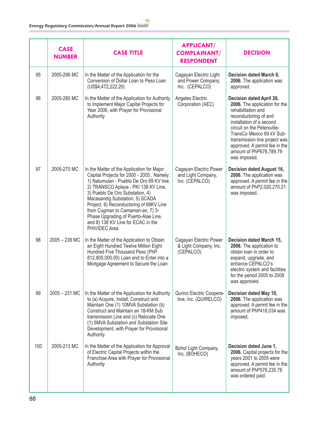|     | <b>CASE</b><br><b>NUMBER</b> | <b>CASE TITLE</b>                                                                                                                                                                                                                                                                                                                                                                                                               | <b>APPLICANT/</b><br><b>COMPLAINANT/</b><br><b>RESPONDENT</b>  | <b>DECISION</b>                                                                                                                                                                                                                                                                                               |
|-----|------------------------------|---------------------------------------------------------------------------------------------------------------------------------------------------------------------------------------------------------------------------------------------------------------------------------------------------------------------------------------------------------------------------------------------------------------------------------|----------------------------------------------------------------|---------------------------------------------------------------------------------------------------------------------------------------------------------------------------------------------------------------------------------------------------------------------------------------------------------------|
| 95  | 2005-296 MC                  | In the Matter of the Application for the<br>Conversion of Dollar Loan to Peso Loan<br>(US\$4,472,222.20)                                                                                                                                                                                                                                                                                                                        | Cagayan Electric Light<br>and Power Company,<br>Inc. (CEPALCO) | Decision dated March 8,<br>2006. The application was<br>approved.                                                                                                                                                                                                                                             |
| 96  | 2005-280 MC                  | In the Matter of the Application for Authority<br>to Implement Major Capital Projects for<br>Year 2006, with Prayer for Provisional<br>Authority                                                                                                                                                                                                                                                                                | Angeles Electric<br>Corporation (AEC)                          | Decision dated April 26,<br>2006. The application for the<br>rehabilitation and<br>reconductoring of and<br>installation of a second<br>circuit on the Petersville-<br>TransCo Mexico 69 kV Sub-<br>transmission line project was<br>approved. A permit fee in the<br>amount of PhP676,789.79<br>was imposed. |
| 97  | 2005-270 MC                  | In the Matter of the Application for Major<br>Capital Projects for 2000 - 2005, Namely:<br>1) Natumulan - Pueblo De Oro 69 KV line,<br>2) TRANSCO Aplaya - PKI 138 KV Line,<br>3) Pueblo De Oro Substation, 4)<br>Macasandig Substation, 5) SCADA<br>Project, 6) Reconductoring of 69KV Line<br>from Cugman to Camaman-an, 7) 3-<br>Phase Upgrading of Puerto-Alae Line,<br>and 8) 138 KV Line for ECAC in the<br>PHIVIDEC Area | Cagayan Electric Power<br>and Light Company,<br>Inc. (CEPALCO) | Decision dated August 16,<br>2006. The application was<br>approved. A permit fee in the<br>amount of PhP2,020,270.21<br>was imposed.                                                                                                                                                                          |
| 98  | $2005 - 239$ MC              | In the Matter of the Application to Obtain<br>an Eight Hundred Twelve Million Eight<br>Hundred Five Thousand Peso (PhP<br>812,805,000.00) Loan and to Enter into a<br>Mortgage Agreement to Secure the Loan                                                                                                                                                                                                                     | Cagayan Electric Power<br>& Light Company, Inc.<br>(CEPALCO)   | Decision dated March 15,<br>2006. The application to<br>obtain loan in order to<br>expand, upgrade, and<br>enhance CEPALCO's<br>electric system and facilities<br>for the period 2005 to 2009<br>was approved.                                                                                                |
| 99  | $2005 - 231$ MC              | In the Matter of the Application for Authority<br>to (a) Acquire, Install, Construct and<br>Maintain One (1) 10MVA Substation (b)<br>Construct and Maintain an 18-KM Sub<br>transmission Line and (c) Relocate One<br>(1) 5MVA Substation and Substation Site<br>Development, with Prayer for Provisional<br>Authority                                                                                                          | Qurino Electric Coopera-<br>tive, Inc. (QUIRELCO)              | Decision dated May 10,<br>2006. The application was<br>approved. A permit fee in the<br>amount of PhP418,034 was<br>imposed.                                                                                                                                                                                  |
| 100 | 2005-213 MC                  | In the Matter of the Application for Approval<br>of Electric Capital Projects within the<br>Franchise Area with Prayer for Provisional<br>Authority                                                                                                                                                                                                                                                                             | Bohol Light Company,<br>Inc. (BOHECO)                          | Decision dated June 1,<br>2006. Capital projects for the<br>years 2001 to 2005 were<br>approved. A permit fee in the<br>amount of PhP576,235.76<br>was ordered paid.                                                                                                                                          |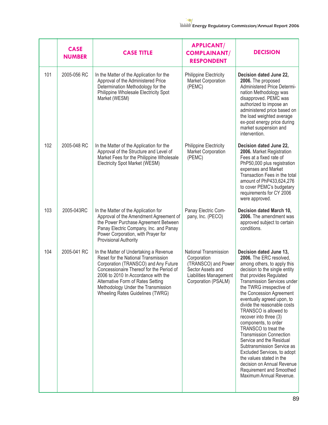|     | <b>CASE</b><br><b>NUMBER</b> | <b>CASE TITLE</b>                                                                                                                                                                                                                                                                                                       | <b>APPLICANT/</b><br><b>COMPLAINANT/</b><br><b>RESPONDENT</b>                                                                            | <b>DECISION</b>                                                                                                                                                                                                                                                                                                                                                                                                                                                                                                                                                                                                                                  |
|-----|------------------------------|-------------------------------------------------------------------------------------------------------------------------------------------------------------------------------------------------------------------------------------------------------------------------------------------------------------------------|------------------------------------------------------------------------------------------------------------------------------------------|--------------------------------------------------------------------------------------------------------------------------------------------------------------------------------------------------------------------------------------------------------------------------------------------------------------------------------------------------------------------------------------------------------------------------------------------------------------------------------------------------------------------------------------------------------------------------------------------------------------------------------------------------|
| 101 | 2005-056 RC                  | In the Matter of the Application for the<br>Approval of the Administered Price<br>Determination Methodology for the<br>Philippine Wholesale Electricity Spot<br>Market (WESM)                                                                                                                                           | <b>Philippine Electricity</b><br><b>Market Corporation</b><br>(PEMC)                                                                     | Decision dated June 22,<br>2006. The proposed<br>Administered Price Determi-<br>nation Methodology was<br>disapproved. PEMC was<br>authorized to impose an<br>administered price based on<br>the load weighted average<br>ex-post energy price during<br>market suspension and<br>intervention.                                                                                                                                                                                                                                                                                                                                                  |
| 102 | 2005-048 RC                  | In the Matter of the Application for the<br>Approval of the Structure and Level of<br>Market Fees for the Philippine Wholesale<br>Electricity Spot Market (WESM)                                                                                                                                                        | <b>Philippine Electricity</b><br><b>Market Corporation</b><br>(PEMC)                                                                     | Decision dated June 22,<br>2006. Market Registration<br>Fees at a fixed rate of<br>PhP50,000 plus registration<br>expenses and Market<br>Transaction Fees in the total<br>amount of PhP433,624,276<br>to cover PEMC's budgetary<br>requirements for CY 2006<br>were approved.                                                                                                                                                                                                                                                                                                                                                                    |
| 103 | 2005-043RC                   | In the Matter of the Application for<br>Approval of the Amendment Agreement of<br>the Power Purchase Agreement Between<br>Panay Electric Company, Inc. and Panay<br>Power Corporation, with Prayer for<br><b>Provisional Authority</b>                                                                                  | Panay Electric Com-<br>pany, Inc. (PECO)                                                                                                 | Decision dated March 10,<br>2006. The amendment was<br>approved subject to certain<br>conditions.                                                                                                                                                                                                                                                                                                                                                                                                                                                                                                                                                |
| 104 | 2005-041 RC                  | In the Matter of Undertaking a Revenue<br>Reset for the National Transmission<br>Corporation (TRANSCO) and Any Future<br>Concessionaire Thereof for the Period of<br>2006 to 2010 In Accordance with the<br>Alternative Form of Rates Setting<br>Methodology Under the Transmission<br>Wheeling Rates Guidelines (TWRG) | <b>National Transmission</b><br>Corporation<br>(TRANSCO) and Power<br>Sector Assets and<br>Liabilities Management<br>Corporation (PSALM) | Decision dated June 13,<br>2006. The ERC resolved,<br>among others, to apply this<br>decision to the single entity<br>that provides Regulated<br>Transmission Services under<br>the TWRG irrespective of<br>the Concession Agreement<br>eventually agreed upon, to<br>divide the reasonable costs<br>TRANSCO is allowed to<br>recover into three (3)<br>components, to order<br>TRANSCO to treat the<br><b>Transmission Connection</b><br>Service and the Residual<br>Subtransmission Service as<br>Excluded Services, to adopt<br>the values stated in the<br>decision on Annual Revenue<br>Requirement and Smoothed<br>Maximum Annual Revenue. |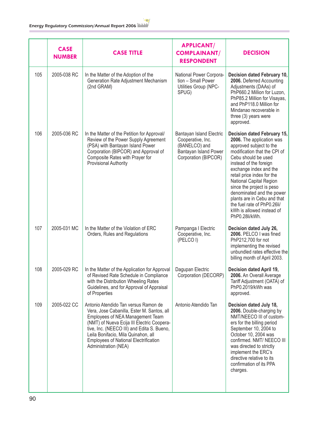|     | <b>CASE</b><br><b>NUMBER</b> | <b>CASE TITLE</b>                                                                                                                                                                                                                                                                                                                 | <b>APPLICANT/</b><br><b>COMPLAINANT/</b><br><b>RESPONDENT</b>                                                   | <b>DECISION</b>                                                                                                                                                                                                                                                                                                                                                                                                                |
|-----|------------------------------|-----------------------------------------------------------------------------------------------------------------------------------------------------------------------------------------------------------------------------------------------------------------------------------------------------------------------------------|-----------------------------------------------------------------------------------------------------------------|--------------------------------------------------------------------------------------------------------------------------------------------------------------------------------------------------------------------------------------------------------------------------------------------------------------------------------------------------------------------------------------------------------------------------------|
| 105 | 2005-038 RC                  | In the Matter of the Adoption of the<br>Generation Rate Adjustment Mechanism<br>(2nd GRAM)                                                                                                                                                                                                                                        | National Power Corpora-<br>tion - Small Power<br>Utilities Group (NPC-<br>SPUG)                                 | Decision dated February 10,<br>2006. Deferred Accounting<br>Adjustments (DAAs) of<br>PhP660.2 Million for Luzon,<br>PhP85.2 Million for Visayas,<br>and PhP118.0 Million for<br>Mindanao recoverable in<br>three (3) years were<br>approved.                                                                                                                                                                                   |
| 106 | 2005-036 RC                  | In the Matter of the Petition for Approval/<br>Review of the Power Supply Agreement<br>(PSA) with Bantayan Island Power<br>Corporation (BIPCOR) and Approval of<br>Composite Rates with Prayer for<br>Provisional Authority                                                                                                       | Bantayan Island Electric<br>Cooperative, Inc.<br>(BANELCO) and<br>Bantayan Island Power<br>Corporation (BIPCOR) | Decision dated February 15,<br>2006. The application was<br>approved subject to the<br>modification that the CPI of<br>Cebu should be used<br>instead of the foreign<br>exchange index and the<br>retail price index for the<br>National Capital Region<br>since the project is peso<br>denominated and the power<br>plants are in Cebu and that<br>the fuel rate of PhP0.26li/<br>kWh is allowed instead of<br>PhP0.28li/kWh. |
| 107 | 2005-031 MC                  | In the Matter of the Violation of ERC<br>Orders, Rules and Regulations                                                                                                                                                                                                                                                            | Pampanga I Electric<br>Cooperative, Inc.<br>(PELCOI)                                                            | Decision dated July 26,<br>2006. PELCO I was fined<br>PhP212,700 for not<br>implementing the revised<br>unbundled rates effective the<br>billing month of April 2003.                                                                                                                                                                                                                                                          |
| 108 | 2005-029 RC                  | In the Matter of the Application for Approval<br>of Revised Rate Schedule in Compliance<br>with the Distribution Wheeling Rates<br>Guidelines, and for Approval of Appraisal<br>of Properties                                                                                                                                     | Dagupan Electric<br>Corporation (DECORP)                                                                        | Decision dated April 19,<br>2006. An Overall Average<br>Tariff Adjustment (OATA) of<br>PhP0.2019/kWh was<br>approved.                                                                                                                                                                                                                                                                                                          |
| 109 | 2005-022 CC                  | Antonio Atendido Tan versus Ramon de<br>Vera, Jose Cabanilla, Ester M. Santos, all<br>Employees of NEA Management Team<br>(NMT) of Nueva Ecija III Electric Coopera-<br>tive, Inc. (NEECO III) and Edita S. Bueno,<br>Leila Bonifacio, Mila Quinahon, all<br><b>Employees of National Electrification</b><br>Administration (NEA) | Antonio Atendido Tan                                                                                            | Decision dated July 18,<br>2006. Double-charging by<br>NMT/NEECO III of custom-<br>ers for the billing period<br>September 10, 2004 to<br>October 10, 2004 was<br>confirmed. NMT/ NEECO III<br>was directed to strictly<br>implement the ERC's<br>directive relative to its<br>confirmation of its PPA<br>charges.                                                                                                             |

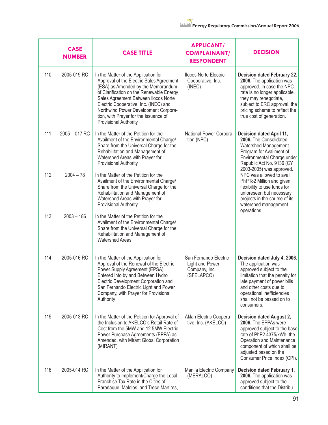|     | <b>CASE</b><br><b>NUMBER</b> | <b>CASE TITLE</b>                                                                                                                                                                                                                                                                                                                                             | <b>APPLICANT/</b><br><b>COMPLAINANT/</b><br><b>RESPONDENT</b>           | <b>DECISION</b>                                                                                                                                                                                                                                     |
|-----|------------------------------|---------------------------------------------------------------------------------------------------------------------------------------------------------------------------------------------------------------------------------------------------------------------------------------------------------------------------------------------------------------|-------------------------------------------------------------------------|-----------------------------------------------------------------------------------------------------------------------------------------------------------------------------------------------------------------------------------------------------|
| 110 | 2005-019 RC                  | In the Matter of the Application for<br>Approval of the Electric Sales Agreement<br>(ESA) as Amended by the Memorandum<br>of Clarification on the Renewable Energy<br>Sales Agreement Between Ilocos Norte<br>Electric Cooperative, Inc. (INEC) and<br>Northwind Power Development Corpora-<br>tion, with Prayer for the Issuance of<br>Provisional Authority | <b>Ilocos Norte Electric</b><br>Cooperative, Inc.<br>(INEC)             | Decision dated February 22,<br>2006. The application was<br>approved. In case the NPC<br>rate is no longer applicable,<br>they may renegotiate,<br>subject to ERC approval, the<br>pricing scheme to reflect the<br>true cost of generation.        |
| 111 | 2005 - 017 RC                | In the Matter of the Petition for the<br>Availment of the Environmental Charge/<br>Share from the Universal Charge for the<br>Rehabilitation and Management of<br>Watershed Areas with Prayer for<br><b>Provisional Authority</b>                                                                                                                             | National Power Corpora-<br>tion (NPC)                                   | Decision dated April 11,<br>2006. The Consolidated<br>Watershed Management<br>Program for Availment of<br>Environmental Charge under<br>Republic Act No. 9136 (CY<br>2003-2005) was approved.                                                       |
| 112 | $2004 - 78$                  | In the Matter of the Petition for the<br>Availment of the Environmental Charge/<br>Share from the Universal Charge for the<br>Rehabilitation and Management of<br>Watershed Areas with Prayer for<br><b>Provisional Authority</b>                                                                                                                             |                                                                         | NPC was allowed to avail<br>PhP182 Million and given<br>flexibility to use funds for<br>unforeseen but necessary<br>projects in the course of its<br>watershed management<br>operations.                                                            |
| 113 | $2003 - 186$                 | In the Matter of the Petition for the<br>Availment of the Environmental Charge/<br>Share from the Universal Charge for the<br>Rehabilitation and Management of<br><b>Watershed Areas</b>                                                                                                                                                                      |                                                                         |                                                                                                                                                                                                                                                     |
| 114 | 2005-016 RC                  | In the Matter of the Application for<br>Approval of the Renewal of the Electric<br>Power Supply Agreement (EPSA)<br>Entered into by and Between Hydro<br>Electric Development Corporation and<br>San Fernando Electric Light and Power<br>Company, with Prayer for Provisional<br>Authority                                                                   | San Fernando Electric<br>Light and Power<br>Company, Inc.<br>(SFELAPCO) | Decision dated July 4, 2006.<br>The application was<br>approved subject to the<br>limitation that the penalty for<br>late payment of power bills<br>and other costs due to<br>operational inefficiencies<br>shall not be passed on to<br>consumers. |
| 115 | 2005-013 RC                  | In the Matter of the Petition for Approval of<br>the Inclusion to AKELCO's Retail Rate of<br>Cost from the 5MW and 12.5MW Electric<br>Power Purchase Agreements (EPPA) as<br>Amended, with Mirant Global Corporation<br>(MIRANT)                                                                                                                              | Aklan Electric Coopera-<br>tive, Inc. (AKELCO)                          | Decision dated August 2,<br>2006. The EPPAs were<br>approved subject to the base<br>rate of PhP2.4375/kWh, the<br>Operation and Maintenance<br>component of which shall be<br>adjusted based on the<br>Consumer Price Index (CPI).                  |
| 116 | 2005-014 RC                  | In the Matter of the Application for<br>Authority to Implement/Charge the Local<br>Franchise Tax Rate in the Cities of<br>Parañaque, Malolos, and Trece Martires,                                                                                                                                                                                             | Manila Electric Company<br>(MERALCO)                                    | Decision dated February 1,<br>2006. The application was<br>approved subject to the<br>conditions that the Distribu                                                                                                                                  |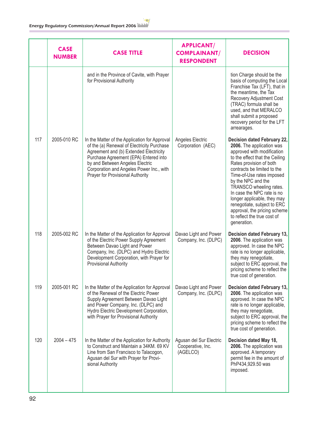|     | <b>CASE</b><br><b>NUMBER</b> | <b>CASE TITLE</b>                                                                                                                                                                                                                                                                                 | <b>APPLICANT/</b><br><b>COMPLAINANT/</b><br><b>RESPONDENT</b> | <b>DECISION</b>                                                                                                                                                                                                                                                                                                                                                                                                                            |
|-----|------------------------------|---------------------------------------------------------------------------------------------------------------------------------------------------------------------------------------------------------------------------------------------------------------------------------------------------|---------------------------------------------------------------|--------------------------------------------------------------------------------------------------------------------------------------------------------------------------------------------------------------------------------------------------------------------------------------------------------------------------------------------------------------------------------------------------------------------------------------------|
|     |                              | and in the Province of Cavite, with Prayer<br>for Provisional Authority                                                                                                                                                                                                                           |                                                               | tion Charge should be the<br>basis of computing the Local<br>Franchise Tax (LFT), that in<br>the meantime, the Tax<br>Recovery Adjustment Cost<br>(TRAC) formula shall be<br>used, and that MERALCO<br>shall submit a proposed<br>recovery period for the LFT<br>arrearages.                                                                                                                                                               |
| 117 | 2005-010 RC                  | In the Matter of the Application for Approval<br>of the (a) Renewal of Electricity Purchase<br>Agreement and (b) Extended Electricity<br>Purchase Agreement (EPA) Entered into<br>by and Between Angeles Electric<br>Corporation and Angeles Power Inc., with<br>Prayer for Provisional Authority | Angeles Electric<br>Corporation (AEC)                         | Decision dated February 22,<br>2006. The application was<br>approved with modification<br>to the effect that the Ceiling<br>Rates provision of both<br>contracts be limited to the<br>Time-of-Use rates imposed<br>by the NPC and the<br>TRANSCO wheeling rates.<br>In case the NPC rate is no<br>longer applicable, they may<br>renegotiate, subject to ERC<br>approval, the pricing scheme<br>to reflect the true cost of<br>generation. |
| 118 | 2005-002 RC                  | In the Matter of the Application for Approval<br>of the Electric Power Supply Agreement<br>Between Davao Light and Power<br>Company, Inc. (DLPC) and Hydro Electric<br>Development Corporation, with Prayer for<br><b>Provisional Authority</b>                                                   | Davao Light and Power<br>Company, Inc. (DLPC)                 | Decision dated February 13,<br>2006. The application was<br>approved. In case the NPC<br>rate is no longer applicable,<br>they may renegotiate,<br>subject to ERC approval, the<br>pricing scheme to reflect the<br>true cost of generation.                                                                                                                                                                                               |
| 119 | 2005-001 RC                  | In the Matter of the Application for Approval<br>of the Renewal of the Electric Power<br>Supply Agreement Between Davao Light<br>and Power Company, Inc. (DLPC) and<br>Hydro Electric Development Corporation,<br>with Prayer for Provisional Authority                                           | Davao Light and Power<br>Company, Inc. (DLPC)                 | Decision dated February 13,<br>2006. The application was<br>approved. In case the NPC<br>rate is no longer applicable,<br>they may renegotiate,<br>subject to ERC approval, the<br>pricing scheme to reflect the<br>true cost of generation.                                                                                                                                                                                               |
| 120 | $2004 - 475$                 | In the Matter of the Application for Authority<br>to Construct and Maintain a 34KM, 69 KV<br>Line from San Francisco to Talacogon,<br>Agusan del Sur with Prayer for Provi-<br>sional Authority                                                                                                   | Agusan del Sur Electric<br>Cooperative, Inc.<br>(AGELCO)      | Decision dated May 18,<br>2006. The application was<br>approved. A temporary<br>permit fee in the amount of<br>PhP434,929.50 was<br>imposed.                                                                                                                                                                                                                                                                                               |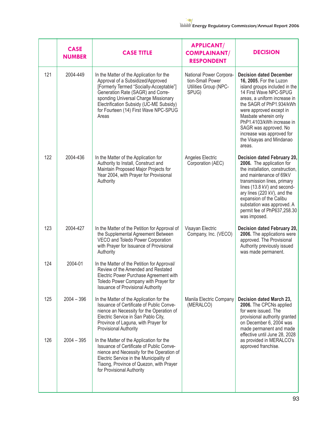|     | <b>CASE</b><br><b>NUMBER</b> | <b>CASE TITLE</b>                                                                                                                                                                                                                                                                                  | <b>APPLICANT/</b><br><b>COMPLAINANT/</b><br><b>RESPONDENT</b>                 | <b>DECISION</b>                                                                                                                                                                                                                                                                                                                                              |
|-----|------------------------------|----------------------------------------------------------------------------------------------------------------------------------------------------------------------------------------------------------------------------------------------------------------------------------------------------|-------------------------------------------------------------------------------|--------------------------------------------------------------------------------------------------------------------------------------------------------------------------------------------------------------------------------------------------------------------------------------------------------------------------------------------------------------|
| 121 | 2004-449                     | In the Matter of the Application for the<br>Approval of a Subsidized/Approved<br>[Formerly Termed "Socially-Acceptable"]<br>Generation Rate (SAGR) and Corre-<br>sponding Universal Charge Missionary<br>Electrification Subsidy (UC-ME Subsidy)<br>for Fourteen (14) First Wave NPC-SPUG<br>Areas | National Power Corpora-<br>tion-Small Power<br>Utilities Group (NPC-<br>SPUG) | <b>Decision dated December</b><br>16, 2005. For the Luzon<br>island groups included in the<br>14 First Wave NPC-SPUG<br>areas, a uniform increase in<br>the SAGR of PhP1.934/kWh<br>were approved except in<br>Masbate wherein only<br>PhP1.4103/kWh increase in<br>SAGR was approved. No<br>increase was approved for<br>the Visayas and Mindanao<br>areas. |
| 122 | 2004-436                     | In the Matter of the Application for<br>Authority to Install, Construct and<br>Maintain Proposed Major Projects for<br>Year 2004, with Prayer for Provisional<br>Authority                                                                                                                         | Angeles Electric<br>Corporation (AEC)                                         | Decision dated February 20,<br>2006. The application for<br>the installation, construction,<br>and maintenance of 69kV<br>transmission lines, primary<br>lines (13.8 kV) and second-<br>ary lines (220 kV), and the<br>expansion of the Calibu<br>substation was approved. A<br>permit fee of PhP637,258.30<br>was imposed.                                  |
| 123 | 2004-427                     | In the Matter of the Petition for Approval of<br>the Supplemental Agreement Between<br>VECO and Toledo Power Corporation<br>with Prayer for Issuance of Provisional<br>Authority                                                                                                                   | Visayan Electric<br>Company, Inc. (VECO)                                      | Decision dated February 20,<br>2006. The applications were<br>approved. The Provisional<br>Authority previously issued<br>was made permanent.                                                                                                                                                                                                                |
| 124 | 2004-01                      | In the Matter of the Petition for Approval/<br>Review of the Amended and Restated<br>Electric Power Purchase Agreement with<br>Toledo Power Company with Prayer for<br><b>Issuance of Provisional Authority</b>                                                                                    |                                                                               |                                                                                                                                                                                                                                                                                                                                                              |
| 125 | $2004 - 396$                 | In the Matter of the Application for the<br>Issuance of Certificate of Public Conve-<br>nience an Necessity for the Operation of<br>Electric Service in San Pablo City,<br>Province of Laguna, with Prayer for<br><b>Provisional Authority</b>                                                     | Manila Electric Company<br>(MERALCO)                                          | Decision dated March 23,<br>2006. The CPCNs applied<br>for were issued. The<br>provisional authority granted<br>on December 6, 2004 was<br>made permanent and made<br>effective until June 28, 2028                                                                                                                                                          |
| 126 | $2004 - 395$                 | In the Matter of the Application for the<br>Issuance of Certificate of Public Conve-<br>nience and Necessity for the Operation of<br>Electric Service in the Municipality of<br>Tiaong, Province of Quezon, with Prayer<br>for Provisional Authority                                               |                                                                               | as provided in MERALCO's<br>approved franchise.                                                                                                                                                                                                                                                                                                              |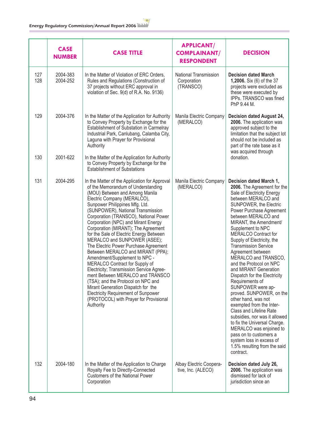|            | <b>CASE</b><br><b>NUMBER</b> | <b>CASE TITLE</b>                                                                                                                                                                                                                                                                                                                                                                                                                                                                                                                                                                                                                                                                                                                                                                                                                               | <b>APPLICANT/</b><br><b>COMPLAINANT/</b><br><b>RESPONDENT</b> | <b>DECISION</b>                                                                                                                                                                                                                                                                                                                                                                                                                                                                                                                                                                                                                                                                                                                                                                                                              |
|------------|------------------------------|-------------------------------------------------------------------------------------------------------------------------------------------------------------------------------------------------------------------------------------------------------------------------------------------------------------------------------------------------------------------------------------------------------------------------------------------------------------------------------------------------------------------------------------------------------------------------------------------------------------------------------------------------------------------------------------------------------------------------------------------------------------------------------------------------------------------------------------------------|---------------------------------------------------------------|------------------------------------------------------------------------------------------------------------------------------------------------------------------------------------------------------------------------------------------------------------------------------------------------------------------------------------------------------------------------------------------------------------------------------------------------------------------------------------------------------------------------------------------------------------------------------------------------------------------------------------------------------------------------------------------------------------------------------------------------------------------------------------------------------------------------------|
| 127<br>128 | 2004-383<br>2004-252         | In the Matter of Violation of ERC Orders,<br>Rules and Regulations (Construction of<br>37 projects without ERC approval in<br>violation of Sec. 9(d) of R.A. No. 9136)                                                                                                                                                                                                                                                                                                                                                                                                                                                                                                                                                                                                                                                                          | National Transmission<br>Corporation<br>(TRANSCO)             | <b>Decision dated March</b><br>1,2006. Six (6) of the 37<br>projects were excluded as<br>these were executed by<br>IPPs. TRANSCO was fined<br>PhP 9.44 M.                                                                                                                                                                                                                                                                                                                                                                                                                                                                                                                                                                                                                                                                    |
| 129        | 2004-376                     | In the Matter of the Application for Authority<br>to Convey Property by Exchange for the<br>Establishment of Substation in Carmelray<br>Industrial Park, Canlubang, Calamba City,<br>Laguna with Prayer for Provisional<br>Authority                                                                                                                                                                                                                                                                                                                                                                                                                                                                                                                                                                                                            | Manila Electric Company<br>(MERALCO)                          | Decision dated August 24,<br>2006. The application was<br>approved subject to the<br>limitation that the subject lot<br>should not be included as<br>part of the rate base as it<br>was acquired through                                                                                                                                                                                                                                                                                                                                                                                                                                                                                                                                                                                                                     |
| 130        | 2001-622                     | In the Matter of the Application for Authority<br>to Convey Property by Exchange for the<br><b>Establishment of Substations</b>                                                                                                                                                                                                                                                                                                                                                                                                                                                                                                                                                                                                                                                                                                                 |                                                               | donation.                                                                                                                                                                                                                                                                                                                                                                                                                                                                                                                                                                                                                                                                                                                                                                                                                    |
| 131        | 2004-295                     | In the Matter of the Application for Approval<br>of the Memorandum of Understanding<br>(MOU) Between and Among Manila<br>Electric Company (MERALCO),<br>Sunpower Philippines Mfg. Ltd.<br>(SUNPOWER), National Transmission<br>Corporation (TRANSCO), National Power<br>Corporation (NPC) and Mirant Energy<br>Corporation (MIRANT); The Agreement<br>for the Sale of Electric Energy Between<br>MERALCO and SUNPOWER (ASEE);<br>The Electric Power Purchase Agreement<br>Between MERALCO and MIRANT (PPA);<br>Amendment/Supplement to NPC -<br>MERALCO Contract for Supply of<br>Electricity; Transmission Service Agree-<br>ment Between MERALCO and TRANSCO<br>(TSA); and the Protocol on NPC and<br>Mirant Generation Dispatch for the<br><b>Electricity Requirement of Sunpower</b><br>(PROTOCOL) with Prayer for Provisional<br>Authority | Manila Electric Company<br>(MERALCO)                          | Decision dated March 1,<br>2006. The Agreement for the<br>Sale of Electricity Energy<br>between MERALCO and<br>SUNPOWER, the Electric<br>Power Purchase Agreement<br>between MERALCO and<br>MIRANT, the Amendment/<br>Supplement to NPC<br><b>MERALCO Contract for</b><br>Supply of Electricity, the<br><b>Transmission Service</b><br>Agreement between<br>MERALCO and TRANSCO,<br>and the Protocol on NPC<br>and MIRANT Generation<br>Dispatch for the Electricity<br>Requirements of<br>SUNPOWER were ap-<br>proved. SUNPOWER, on the<br>other hand, was not<br>exempted from the Inter-<br><b>Class and Lifeline Rate</b><br>subsidies, nor was it allowed<br>to fix the Universal Charge.<br>MERALCO was enjoined to<br>pass on to customers a<br>system loss in excess of<br>1.5% resulting from the said<br>contract. |
| 132        | 2004-180                     | In the Matter of the Application to Charge<br>Royalty Fee to Directly-Connected<br><b>Customers of the National Power</b><br>Corporation                                                                                                                                                                                                                                                                                                                                                                                                                                                                                                                                                                                                                                                                                                        | Albay Electric Coopera-<br>tive, Inc. (ALECO)                 | Decision dated July 26,<br>2006. The application was<br>dismissed for lack of<br>jurisdiction since an                                                                                                                                                                                                                                                                                                                                                                                                                                                                                                                                                                                                                                                                                                                       |

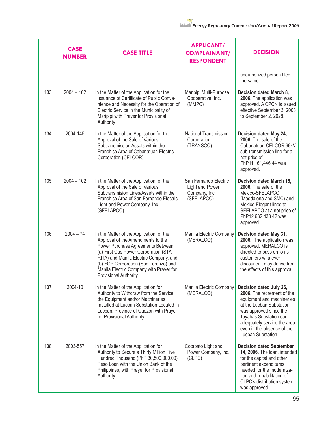|     | <b>CASE</b><br><b>NUMBER</b> | <b>CASE TITLE</b>                                                                                                                                                                                                                                                                                                         | <b>APPLICANT/</b><br><b>COMPLAINANT/</b><br><b>RESPONDENT</b>           | <b>DECISION</b>                                                                                                                                                                                                                                        |
|-----|------------------------------|---------------------------------------------------------------------------------------------------------------------------------------------------------------------------------------------------------------------------------------------------------------------------------------------------------------------------|-------------------------------------------------------------------------|--------------------------------------------------------------------------------------------------------------------------------------------------------------------------------------------------------------------------------------------------------|
|     |                              |                                                                                                                                                                                                                                                                                                                           |                                                                         | unauthorized person filed<br>the same.                                                                                                                                                                                                                 |
| 133 | $2004 - 162$                 | In the Matter of the Application for the<br>Issuance of Certificate of Public Conve-<br>nience and Necessity for the Operation of<br>Electric Service in the Municipality of<br>Maripipi with Prayer for Provisional<br>Authority                                                                                         | Maripipi Multi-Purpose<br>Cooperative, Inc.<br>(MMPC)                   | Decision dated March 8,<br>2006. The application was<br>approved. A CPCN is issued<br>effective September 3, 2003<br>to September 2, 2028.                                                                                                             |
| 134 | 2004-145                     | In the Matter of the Application for the<br>Approval of the Sale of Various<br>Subtransmission Assets within the<br>Franchise Area of Cabanatuan Electric<br>Corporation (CELCOR)                                                                                                                                         | <b>National Transmission</b><br>Corporation<br>(TRANSCO)                | Decision dated May 24,<br>2006. The sale of the<br>Cabanatuan-CELCOR 69kV<br>sub-transmission line for a<br>net price of<br>PhP11,161,446.44 was<br>approved.                                                                                          |
| 135 | $2004 - 102$                 | In the Matter of the Application for the<br>Approval of the Sale of Various<br>Subtransmision Lines/Assets within the<br>Franchise Area of San Fernando Electric<br>Light and Power Company, Inc.<br>(SFELAPCO)                                                                                                           | San Fernando Electric<br>Light and Power<br>Company, Inc.<br>(SFELAPCO) | Decision dated March 15,<br>2006. The sale of the<br>Mexico-SFELAPCO<br>(Magdalena and SMC) and<br>Mexico-Elegant lines to<br>SFELAPCO at a net price of<br>PhP12,632,438.42 was<br>approved.                                                          |
| 136 | $2004 - 74$                  | In the Matter of the Application for the<br>Approval of the Amendments to the<br>Power Purchase Agreements Between<br>(a) First Gas Power Corporation (STA.<br>RITA) and Manila Electric Company, and<br>(b) FGP Corporation (San Lorenzo) and<br>Manila Electric Company with Prayer for<br><b>Provisional Authority</b> | Manila Electric Company<br>(MERALCO)                                    | Decision dated May 31,<br>2006. The application was<br>approved. MERALCO is<br>directed to pass on to its<br>customers whatever<br>discounts it may derive from<br>the effects of this approval.                                                       |
| 137 | 2004-10                      | In the Matter of the Application for<br>Authority to Withdraw from the Service<br>the Equipment and/or Machineries<br>Installed at Lucban Substation Located in<br>Lucban, Province of Quezon with Prayer<br>for Provisional Authority                                                                                    | Manila Electric Company<br>(MERALCO)                                    | Decision dated July 26,<br>2006. The retirement of the<br>equipment and machineries<br>at the Lucban Substation<br>was approved since the<br>Tayabas Substation can<br>adequately service the area<br>even in the absence of the<br>Lucban Substation. |
| 138 | 2003-557                     | In the Matter of the Application for<br>Authority to Secure a Thirty Million Five<br>Hundred Thousand (PhP 30,500,000.00)<br>Peso Loan with the Union Bank of the<br>Philippines, with Prayer for Provisional<br>Authority                                                                                                | Cotabato Light and<br>Power Company, Inc.<br>(CLPC)                     | <b>Decision dated September</b><br>14, 2006. The loan, intended<br>for the capital and other<br>pertinent expenditures<br>needed for the moderniza-<br>tion and rehabilitation of<br>CLPC's distribution system,<br>was approved.                      |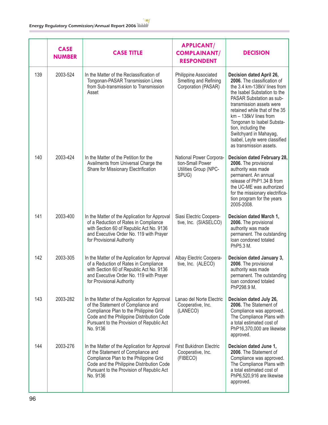|     | <b>CASE</b><br><b>NUMBER</b> | <b>CASE TITLE</b>                                                                                                                                                                                                                   | <b>APPLICANT/</b><br><b>COMPLAINANT/</b><br><b>RESPONDENT</b>                 | <b>DECISION</b>                                                                                                                                                                                                                                                                                                                                                                     |
|-----|------------------------------|-------------------------------------------------------------------------------------------------------------------------------------------------------------------------------------------------------------------------------------|-------------------------------------------------------------------------------|-------------------------------------------------------------------------------------------------------------------------------------------------------------------------------------------------------------------------------------------------------------------------------------------------------------------------------------------------------------------------------------|
| 139 | 2003-524                     | In the Matter of the Reclassification of<br>Tongonan-PASAR Transmission Lines<br>from Sub-transmission to Transmission<br>Asset                                                                                                     | Philippine Associated<br>Smelting and Refining<br>Corporation (PASAR)         | Decision dated April 26,<br>2006. The classification of<br>the 3.4 km-138kV lines from<br>the Isabel Substation to the<br>PASAR Substation as sub-<br>transmission assets were<br>retained while that of the 35<br>km - 138kV lines from<br>Tongonan to Isabel Substa-<br>tion, including the<br>Switchyard in Mahayag,<br>Isabel, Leyte were classified<br>as transmission assets. |
| 140 | 2003-424                     | In the Matter of the Petition for the<br>Availments from Universal Charge the<br>Share for Missionary Electrification                                                                                                               | National Power Corpora-<br>tion-Small Power<br>Utilities Group (NPC-<br>SPUG) | Decision dated February 28,<br>2006. The provisional<br>authority was made<br>permanent. An annual<br>release of PhP1.34 B from<br>the UC-ME was authorized<br>for the missionary electrifica-<br>tion program for the years<br>2005-2008.                                                                                                                                          |
| 141 | 2003-400                     | In the Matter of the Application for Approval<br>of a Reduction of Rates in Compliance<br>with Section 60 of Republic Act No. 9136<br>and Executive Order No. 119 with Prayer<br>for Provisional Authority                          | Siasi Electric Coopera-<br>tive, Inc. (SIASELCO)                              | Decision dated March 1,<br>2006. The provisional<br>authority was made<br>permanent. The outstanding<br>loan condoned totaled<br>PhP5.3 M.                                                                                                                                                                                                                                          |
| 142 | 2003-305                     | In the Matter of the Application for Approval<br>of a Reduction of Rates in Compliance<br>with Section 60 of Republic Act No. 9136<br>and Executive Order No. 119 with Prayer<br>for Provisional Authority                          | Albay Electric Coopera-<br>tive, Inc. (ALECO)                                 | Decision dated January 3,<br>2006. The provisional<br>authority was made<br>permanent. The outstanding<br>loan condoned totaled<br>PhP298.9 M.                                                                                                                                                                                                                                      |
| 143 | 2003-282                     | In the Matter of the Application for Approval<br>of the Statement of Compliance and<br>Compliance Plan to the Philippine Grid<br>Code and the Philippine Distribution Code<br>Pursuant to the Provision of Republic Act<br>No. 9136 | Lanao del Norte Electric<br>Cooperative, Inc.<br>(LANECO)                     | Decision dated July 26,<br>2006. The Statement of<br>Compliance was approved.<br>The Compliance Plans with<br>a total estimated cost of<br>PhP16,370,000 are likewise<br>approved.                                                                                                                                                                                                  |
| 144 | 2003-276                     | In the Matter of the Application for Approval<br>of the Statement of Compliance and<br>Compliance Plan to the Philippine Grid<br>Code and the Philippine Distribution Code<br>Pursuant to the Provision of Republic Act<br>No. 9136 | <b>First Bukidnon Electric</b><br>Cooperative, Inc.<br>(FIBECO)               | Decision dated June 1,<br>2006. The Statement of<br>Compliance was approved.<br>The Compliance Plans with<br>a total estimated cost of<br>PhP6,520,916 are likewise<br>approved.                                                                                                                                                                                                    |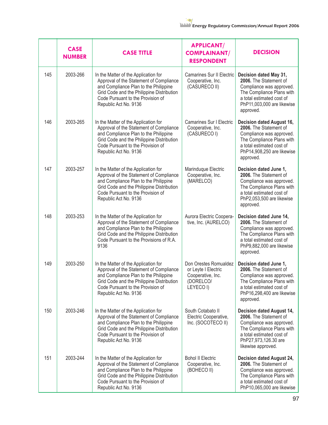|     | <b>CASE</b><br><b>NUMBER</b> | <b>CASE TITLE</b>                                                                                                                                                                                                                   | <b>APPLICANT/</b><br><b>COMPLAINANT/</b><br><b>RESPONDENT</b>                               | <b>DECISION</b>                                                                                                                                                                         |
|-----|------------------------------|-------------------------------------------------------------------------------------------------------------------------------------------------------------------------------------------------------------------------------------|---------------------------------------------------------------------------------------------|-----------------------------------------------------------------------------------------------------------------------------------------------------------------------------------------|
| 145 | 2003-266                     | In the Matter of the Application for<br>Approval of the Statement of Compliance<br>and Compliance Plan to the Philippine<br>Grid Code and the Philippine Distribution<br>Code Pursuant to the Provision of<br>Republic Act No. 9136 | <b>Camarines Sur II Electric</b><br>Cooperative, Inc.<br>(CASURECO II)                      | Decision dated May 31,<br>2006. The Statement of<br>Compliance was approved.<br>The Compliance Plans with<br>a total estimated cost of<br>PhP11,003,000 are likewise<br>approved.       |
| 146 | 2003-265                     | In the Matter of the Application for<br>Approval of the Statement of Compliance<br>and Compliance Plan to the Philippine<br>Grid Code and the Philippine Distribution<br>Code Pursuant to the Provision of<br>Republic Act No. 9136 | <b>Camarines Sur I Electric</b><br>Cooperative, Inc.<br>(CASURECO I)                        | Decision dated August 16,<br>2006. The Statement of<br>Compliance was approved.<br>The Compliance Plans with<br>a total estimated cost of<br>PhP14,908,250 are likewise<br>approved.    |
| 147 | 2003-257                     | In the Matter of the Application for<br>Approval of the Statement of Compliance<br>and Compliance Plan to the Philippine<br>Grid Code and the Philippine Distribution<br>Code Pursuant to the Provision of<br>Republic Act No. 9136 | Marinduque Electric<br>Cooperative, Inc.<br>(MARELCO)                                       | Decision dated June 1,<br>2006. The Statement of<br>Compliance was approved.<br>The Compliance Plans with<br>a total estimated cost of<br>PhP2,053,500 are likewise<br>approved.        |
| 148 | 2003-253                     | In the Matter of the Application for<br>Approval of the Statement of Compliance<br>and Compliance Plan to the Philippine<br>Grid Code and the Philippine Distribution<br>Code Pursuant to the Provisions of R.A.<br>9136            | Aurora Electric Coopera-<br>tive, Inc. (AURELCO)                                            | Decision dated June 14,<br>2006. The Statement of<br>Compliance was approved.<br>The Compliance Plans with<br>a total estimated cost of<br>PhP9,882,000 are likewise<br>approved.       |
| 149 | 2003-250                     | In the Matter of the Application for<br>Approval of the Statement of Compliance<br>and Compliance Plan to the Philippine<br>Grid Code and the Philippine Distribution<br>Code Pursuant to the Provision of<br>Republic Act No. 9136 | Don Orestes Romualdez<br>or Leyte I Electric<br>Cooperative, Inc.<br>(DORELCO/<br>LEYECO I) | Decision dated June 1,<br>2006. The Statement of<br>Compliance was approved.<br>The Compliance Plans with<br>a total estimated cost of<br>PhP16,298,400 are likewise<br>approved.       |
| 150 | 2003-246                     | In the Matter of the Application for<br>Approval of the Statement of Compliance<br>and Compliance Plan to the Philippine<br>Grid Code and the Philippine Distribution<br>Code Pursuant to the Provision of<br>Republic Act No. 9136 | South Cotabato II<br>Electric Cooperative,<br>Inc. (SOCOTECO II)                            | Decision dated August 14,<br>2006. The Statement of<br>Compliance was approved.<br>The Compliance Plans with<br>a total estimated cost of<br>PhP27,973,126.30 are<br>likewise approved. |
| 151 | 2003-244                     | In the Matter of the Application for<br>Approval of the Statement of Compliance<br>and Compliance Plan to the Philippine<br>Grid Code and the Philippine Distribution<br>Code Pursuant to the Provision of<br>Republic Act No. 9136 | <b>Bohol II Electric</b><br>Cooperative, Inc.<br>(BOHECO II)                                | <b>Decision dated August 24,</b><br>2006. The Statement of<br>Compliance was approved.<br>The Compliance Plans with<br>a total estimated cost of<br>PhP10,065,000 are likewise          |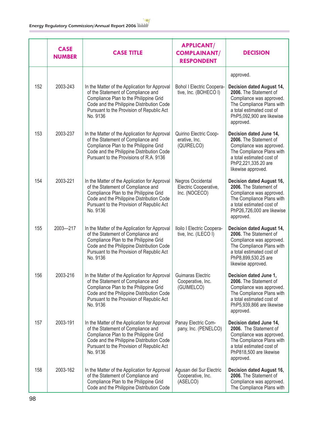|     | <b>CASE</b><br><b>NUMBER</b> | <b>CASE TITLE</b>                                                                                                                                                                                                                   | <b>APPLICANT/</b><br><b>COMPLAINANT/</b><br><b>RESPONDENT</b> | <b>DECISION</b>                                                                                                                                                                            |
|-----|------------------------------|-------------------------------------------------------------------------------------------------------------------------------------------------------------------------------------------------------------------------------------|---------------------------------------------------------------|--------------------------------------------------------------------------------------------------------------------------------------------------------------------------------------------|
|     |                              |                                                                                                                                                                                                                                     |                                                               | approved.                                                                                                                                                                                  |
| 152 | 2003-243                     | In the Matter of the Application for Approval<br>of the Statement of Compliance and<br>Compliance Plan to the Philippine Grid<br>Code and the Philippine Distribution Code<br>Pursuant to the Provision of Republic Act<br>No. 9136 | <b>Bohol I Electric Coopera-</b><br>tive, Inc. (BOHECO I)     | <b>Decision dated August 14,</b><br>2006. The Statement of<br>Compliance was approved.<br>The Compliance Plans with<br>a total estimated cost of<br>PhP5,092,900 are likewise<br>approved. |
| 153 | 2003-237                     | In the Matter of the Application for Approval<br>of the Statement of Compliance and<br>Compliance Plan to the Philippine Grid<br>Code and the Philippine Distribution Code<br>Pursuant to the Provisions of R.A. 9136               | Quirino Electric Coop-<br>erative, Inc.<br>(QUIRELCO)         | Decision dated June 14,<br>2006. The Statement of<br>Compliance was approved.<br>The Compliance Plans with<br>a total estimated cost of<br>PhP2,221,335.20 are<br>likewise approved.       |
| 154 | 2003-221                     | In the Matter of the Application for Approval<br>of the Statement of Compliance and<br>Compliance Plan to the Philippine Grid<br>Code and the Philippine Distribution Code<br>Pursuant to the Provision of Republic Act<br>No. 9136 | Negros Occidental<br>Electric Cooperative,<br>Inc. (NOCECO)   | Decision dated August 16,<br>2006. The Statement of<br>Compliance was approved.<br>The Compliance Plans with<br>a total estimated cost of<br>PhP26,726,000 are likewise<br>approved.       |
| 155 | 2003-217                     | In the Matter of the Application for Approval<br>of the Statement of Compliance and<br>Compliance Plan to the Philippine Grid<br>Code and the Philippine Distribution Code<br>Pursuant to the Provision of Republic Act<br>No. 9136 | Iloilo I Electric Coopera-<br>tive, Inc. (ILECO I)            | Decision dated August 14,<br>2006. The Statement of<br>Compliance was approved.<br>The Compliance Plans with<br>a total estimated cost of<br>PhP8,899,530.25 are<br>likewise approved.     |
| 156 | 2003-216                     | In the Matter of the Application for Approval<br>of the Statement of Compliance and<br>Compliance Plan to the Philippine Grid<br>Code and the Philippine Distribution Code<br>Pursuant to the Provision of Republic Act<br>No. 9136 | Guimaras Electric<br>Cooperative, Inc.<br>(GUIMELCO)          | Decision dated June 1,<br>2006. The Statement of<br>Compliance was approved.<br>The Compliance Plans with<br>a total estimated cost of<br>PhP5,939,866 are likewise<br>approved.           |
| 157 | 2003-191                     | In the Matter of the Application for Approval<br>of the Statement of Compliance and<br>Compliance Plan to the Philippine Grid<br>Code and the Philippine Distribution Code<br>Pursuant to the Provision of Republic Act<br>No. 9136 | Panay Electric Com-<br>pany, Inc. (PENELCO)                   | Decision dated June 14,<br>2006. The Statement of<br>Compliance was approved.<br>The Compliance Plans with<br>a total estimated cost of<br>PhP818,500 are likewise<br>approved.            |
| 158 | 2003-162                     | In the Matter of the Application for Approval<br>of the Statement of Compliance and<br>Compliance Plan to the Philippine Grid<br>Code and the Philippine Distribution Code                                                          | Agusan del Sur Electric<br>Cooperative, Inc.<br>(ASELCO)      | Decision dated August 16,<br>2006. The Statement of<br>Compliance was approved.<br>The Compliance Plans with                                                                               |

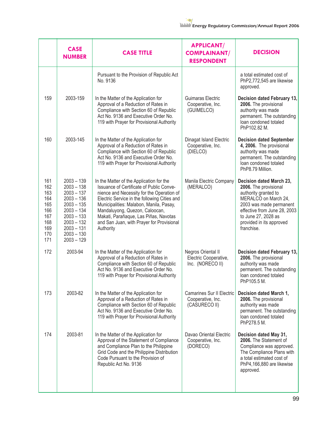|                                                                           | <b>CASE</b><br><b>NUMBER</b>                                                                                                                                                 | <b>CASE TITLE</b>                                                                                                                                                                                                                                                                                                                                                 | <b>APPLICANT/</b><br><b>COMPLAINANT/</b><br><b>RESPONDENT</b>          | <b>DECISION</b>                                                                                                                                                                                                               |
|---------------------------------------------------------------------------|------------------------------------------------------------------------------------------------------------------------------------------------------------------------------|-------------------------------------------------------------------------------------------------------------------------------------------------------------------------------------------------------------------------------------------------------------------------------------------------------------------------------------------------------------------|------------------------------------------------------------------------|-------------------------------------------------------------------------------------------------------------------------------------------------------------------------------------------------------------------------------|
|                                                                           |                                                                                                                                                                              | Pursuant to the Provision of Republic Act<br>No. 9136                                                                                                                                                                                                                                                                                                             |                                                                        | a total estimated cost of<br>PhP2,772,545 are likewise<br>approved.                                                                                                                                                           |
| 159                                                                       | 2003-159                                                                                                                                                                     | In the Matter of the Application for<br>Approval of a Reduction of Rates in<br>Compliance with Section 60 of Republic<br>Act No. 9136 and Executive Order No.<br>119 with Prayer for Provisional Authority                                                                                                                                                        | Guimaras Electric<br>Cooperative, Inc.<br>(GUIMELCO)                   | Decision dated February 13,<br>2006. The provisional<br>authority was made<br>permanent. The outstanding<br>loan condoned totaled<br>PhP102.82 M.                                                                             |
| 160                                                                       | 2003-145                                                                                                                                                                     | In the Matter of the Application for<br>Approval of a Reduction of Rates in<br>Compliance with Section 60 of Republic<br>Act No. 9136 and Executive Order No.<br>119 with Prayer for Provisional Authority                                                                                                                                                        | Dinagat Island Electric<br>Cooperative, Inc.<br>(DIELCO)               | <b>Decision dated September</b><br>4, 2006. The provisional<br>authority was made<br>permanent. The outstanding<br>loan condoned totaled<br>PhP8.79 Million.                                                                  |
| 161<br>162<br>163<br>164<br>165<br>166<br>167<br>168<br>169<br>170<br>171 | $2003 - 139$<br>$2003 - 138$<br>$2003 - 137$<br>$2003 - 136$<br>$2003 - 135$<br>$2003 - 134$<br>$2003 - 133$<br>$2003 - 132$<br>$2003 - 131$<br>$2003 - 130$<br>$2003 - 129$ | In the Matter of the Application for the<br>Issuance of Certificate of Public Conve-<br>nience and Necessity for the Operation of<br>Electric Service in the following Cities and<br>Municipalities: Malabon, Manila, Pasay,<br>Mandaluyong, Quezon, Caloocan,<br>Makati, Parañaque, Las Piñas, Navotas<br>and San Juan, with Prayer for Provisional<br>Authority | Manila Electric Company<br>(MERALCO)                                   | Decision dated March 23,<br>2006. The provisional<br>authority granted to<br>MERALCO on March 24,<br>2003 was made permanent<br>effective from June 28, 2003<br>to June 27, 2028 as<br>provided in its approved<br>franchise. |
| 172                                                                       | 2003-94                                                                                                                                                                      | In the Matter of the Application for<br>Approval of a Reduction of Rates in<br>Compliance with Section 60 of Republic<br>Act No. 9136 and Executive Order No.<br>119 with Prayer for Provisional Authority                                                                                                                                                        | Negros Oriental II<br>Electric Cooperative,<br>Inc. (NORECO II)        | Decision dated February 13,<br>2006. The provisional<br>authority was made<br>permanent. The outstanding<br>loan condoned totaled<br>PhP105.5 M.                                                                              |
| 173                                                                       | 2003-82                                                                                                                                                                      | In the Matter of the Application for<br>Approval of a Reduction of Rates in<br>Compliance with Section 60 of Republic<br>Act No. 9136 and Executive Order No.<br>119 with Prayer for Provisional Authority                                                                                                                                                        | <b>Camarines Sur II Electric</b><br>Cooperative, Inc.<br>(CASURECO II) | Decision dated March 1,<br>2006. The provisional<br>authority was made<br>permanent. The outstanding<br>loan condoned totaled<br>PhP278.5 M.                                                                                  |
| 174                                                                       | 2003-81                                                                                                                                                                      | In the Matter of the Application for<br>Approval of the Statement of Compliance<br>and Compliance Plan to the Philippine<br>Grid Code and the Philippine Distribution<br>Code Pursuant to the Provision of<br>Republic Act No. 9136                                                                                                                               | Davao Oriental Electric<br>Cooperative, Inc.<br>(DORECO)               | Decision dated May 31,<br>2006. The Statement of<br>Compliance was approved.<br>The Compliance Plans with<br>a total estimated cost of<br>PhP4,166,880 are likewise<br>approved.                                              |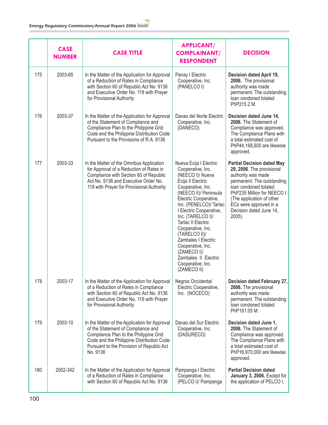|     | <b>CASE</b><br><b>NUMBER</b> | <b>CASE TITLE</b>                                                                                                                                                                                                                   | <b>APPLICANT/</b><br><b>COMPLAINANT/</b><br><b>RESPONDENT</b>                                                                                                                                                                                                                                                                                                                                                                   | <b>DECISION</b>                                                                                                                                                                                                                                                        |
|-----|------------------------------|-------------------------------------------------------------------------------------------------------------------------------------------------------------------------------------------------------------------------------------|---------------------------------------------------------------------------------------------------------------------------------------------------------------------------------------------------------------------------------------------------------------------------------------------------------------------------------------------------------------------------------------------------------------------------------|------------------------------------------------------------------------------------------------------------------------------------------------------------------------------------------------------------------------------------------------------------------------|
| 175 | 2003-65                      | In the Matter of the Application for Approval<br>of a Reduction of Rates in Compliance<br>with Section 60 of Republic Act No. 9136<br>and Executive Order No. 119 with Prayer<br>for Provisional Authority                          | Panay I Electric<br>Cooperative, Inc.<br>(PANELCOI)                                                                                                                                                                                                                                                                                                                                                                             | Decision dated April 19,<br>2006. The provisional<br>authority was made<br>permanent. The outstanding<br>loan condoned totaled<br>PhP215.2 M.                                                                                                                          |
| 176 | 2003-37                      | In the Matter of the Application for Approval<br>of the Statement of Compliance and<br>Compliance Plan to the Philippine Grid<br>Code and the Philippine Distribution Code<br>Pursuant to the Provisions of R.A. 9136               | Davao del Norte Electric<br>Cooperative, Inc.<br>(DANECO)                                                                                                                                                                                                                                                                                                                                                                       | Decision dated June 14,<br>2006. The Statement of<br>Compliance was approved.<br>The Compliance Plans with<br>a total estimated cost of<br>PhP44,168,600 are likewise<br>approved.                                                                                     |
| 177 | 2003-33                      | In the Matter of the Omnibus Application<br>for Approval of a Reduction of Rates in<br>Compliance with Section 60 of Republic<br>Act No. 9136 and Executive Order No.<br>119 with Prayer for Provisional Authority                  | Nueva Ecija I Electric<br>Cooperative, Inc.<br>(NEECO I)/ Nueva<br>Ecija II Electric<br>Cooperative, Inc.<br>(NEECO II)/ Peninsula<br>Electric Cooperative,<br>Inc. (PENELCO)/ Tarlac<br>I Electric Cooperative,<br>Inc. (TARELCO I)/<br><b>Tarlac II Electric</b><br>Cooperative, Inc.<br>(TARELCO II)/<br>Zambales   Electric<br>Cooperative, Inc.<br>(ZAMECO I)/<br>Zambales II Electric<br>Cooperative, Inc.<br>(ZAMECO II) | <b>Partial Decision dated May</b><br>29, 2006. The provisional<br>authority was made<br>permanent. The outstanding<br>loan condoned totaled<br>PhP235 Million for NEECO I.<br>(The application of other<br>ECs were approved in a<br>Decision dated June 14,<br>2005). |
| 178 | 2003-17                      | In the Matter of the Application for Approval<br>of a Reduction of Rates in Compliance<br>with Section 60 of Republic Act No. 9136<br>and Executive Order No. 119 with Prayer<br>for Provisional Authority                          | Negros Occidental<br>Electric Cooperative,<br>Inc. (NOCECO)                                                                                                                                                                                                                                                                                                                                                                     | Decision dated February 27,<br>2006. The provisional<br>authority was made<br>permanent. The outstanding<br>loan condoned totaled<br>PhP181.05 M.                                                                                                                      |
| 179 | 2003-10                      | In the Matter of the Application for Approval<br>of the Statement of Compliance and<br>Compliance Plan to the Philippine Grid<br>Code and the Philippine Distribution Code<br>Pursuant to the Provision of Republic Act<br>No. 9136 | Davao del Sur Electric<br>Cooperative, Inc.<br>(DASURECO)                                                                                                                                                                                                                                                                                                                                                                       | Decision dated June 1,<br>2006. The Statement of<br>Compliance was approved.<br>The Compliance Plans with<br>a total estimated cost of<br>PhP16,970,000 are likewise<br>approved.                                                                                      |
| 180 | 2002-342                     | In the Matter of the Application for Approval<br>of a Reduction of Rates in Compliance<br>with Section 60 of Republic Act No. 9136                                                                                                  | Pampanga I Electric<br>Cooperative, Inc.<br>(PELCO I)/ Pampanga                                                                                                                                                                                                                                                                                                                                                                 | <b>Partial Decision dated</b><br>January 3, 2006. Except for<br>the application of PELCO I,                                                                                                                                                                            |

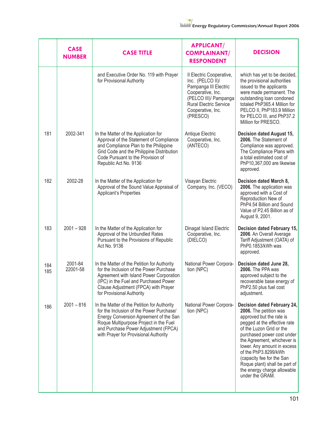|            | <b>CASE</b><br><b>NUMBER</b> | <b>CASE TITLE</b>                                                                                                                                                                                                                                            | <b>APPLICANT/</b><br><b>COMPLAINANT/</b><br><b>RESPONDENT</b>                                                                                                                         | <b>DECISION</b>                                                                                                                                                                                                                                                                                                                                                                   |
|------------|------------------------------|--------------------------------------------------------------------------------------------------------------------------------------------------------------------------------------------------------------------------------------------------------------|---------------------------------------------------------------------------------------------------------------------------------------------------------------------------------------|-----------------------------------------------------------------------------------------------------------------------------------------------------------------------------------------------------------------------------------------------------------------------------------------------------------------------------------------------------------------------------------|
|            |                              | and Executive Order No. 119 with Prayer<br>for Provisional Authority                                                                                                                                                                                         | Il Electric Cooperative,<br>Inc. (PELCO II)/<br>Pampanga III Electric<br>Cooperative, Inc.<br>(PELCO III)/ Pampanga<br><b>Rural Electric Service</b><br>Cooperative, Inc.<br>(PRESCO) | which has yet to be decided,<br>the provisional authorities<br>issued to the applicants<br>were made permanent. The<br>outstanding loan condoned<br>totaled PhP365.4 Million for<br>PELCO II, PhP183.9 Million<br>for PELCO III, and PhP37.2<br>Million for PRESCO.                                                                                                               |
| 181        | 2002-341                     | In the Matter of the Application for<br>Approval of the Statement of Compliance<br>and Compliance Plan to the Philippine<br>Grid Code and the Philippine Distribution<br>Code Pursuant to the Provision of<br>Republic Act No. 9136                          | Antique Electric<br>Cooperative, Inc.<br>(ANTECO)                                                                                                                                     | Decision dated August 15,<br>2006. The Statement of<br>Compliance was approved.<br>The Compliance Plans with<br>a total estimated cost of<br>PhP10,367,000 are likewise<br>approved.                                                                                                                                                                                              |
| 182        | 2002-28                      | In the Matter of the Application for<br>Approval of the Sound Value Appraisal of<br>Applicant's Properties                                                                                                                                                   | Visayan Electric<br>Company, Inc. (VECO)                                                                                                                                              | Decision dated March 8,<br>2006. The application was<br>approved with a Cost of<br>Reproduction New of<br>PhP4.54 Billion and Sound<br>Value of P2.45 Billion as of<br>August 9, 2001.                                                                                                                                                                                            |
| 183        | $2001 - 928$                 | In the Matter of the Application for<br>Approval of the Unbundled Rates<br>Pursuant to the Provisions of Republic<br>Act No. 9136                                                                                                                            | Dinagat Island Electric<br>Cooperative, Inc.<br>(DIELCO)                                                                                                                              | Decision dated February 15,<br>2006. An Overall Average<br>Tariff Adjustment (OATA) of<br>PhP0.1853/kWh was<br>approved.                                                                                                                                                                                                                                                          |
| 184<br>185 | 2001-84<br>22001-58          | In the Matter of the Petition for Authority<br>for the Inclusion of the Power Purchase<br>Agreement with Island Power Corporation<br>(IPC) in the Fuel and Purchased Power<br>Clause Adjustment (FPCA) with Prayer<br>for Provisional Authority              | National Power Corpora-<br>tion (NPC)                                                                                                                                                 | Decision dated June 28,<br>2006. The PPA was<br>approved subject to the<br>recoverable base energy of<br>PhP2.50 plus fuel cost<br>adjustment.                                                                                                                                                                                                                                    |
| 186        | $2001 - 816$                 | In the Matter of the Petition for Authority<br>for the Inclusion of the Power Purchase/<br>Energy Conversion Agreement of the San<br>Roque Multipurpose Project in the Fuel<br>and Purchase Power Adjustment (FPCA)<br>with Prayer for Provisional Authority | National Power Corpora-<br>tion (NPC)                                                                                                                                                 | Decision dated February 24,<br>2006. The petition was<br>approved but the rate is<br>pegged at the effective rate<br>of the Luzon Grid or the<br>purchased power cost under<br>the Agreement, whichever is<br>lower. Any amount in excess<br>of the PhP3.8299/kWh<br>(capacity fee for the San<br>Roque plant) shall be part of<br>the energy charge allowable<br>under the GRAM. |